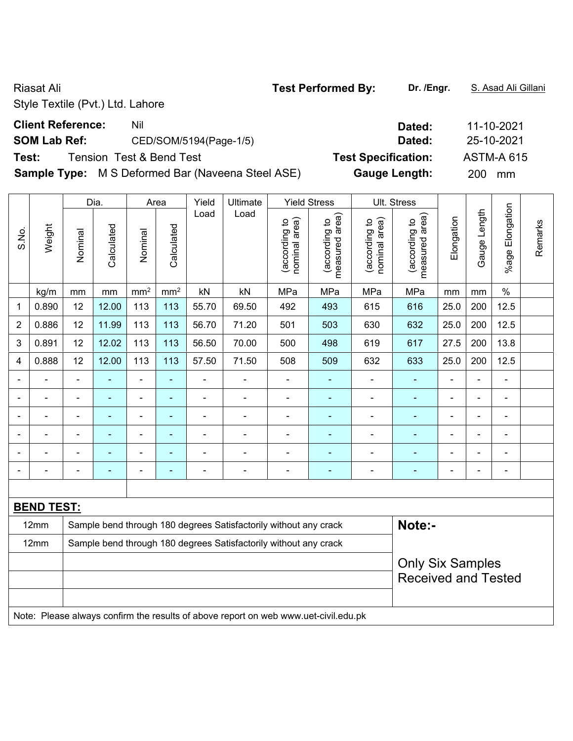### **Client Reference:** Nil Nil 2021

# **SOM Lab Ref:** CED/SOM/5194(Page-1/5) **Dated:** 25-10-2021

**Test:** Tension Test & Bend Test **Test Specification:** ASTM-A 615

**Sample Type:** M S Deformed Bar (Naveena Steel ASE) **Gauge Length:** 200 mm

|                |                   |                | Dia.       |                 | Area            | Yield                    | Ultimate                                                                            |                                | <b>Yield Stress</b>             |                                | Ult. Stress                     |                |                |                 |         |
|----------------|-------------------|----------------|------------|-----------------|-----------------|--------------------------|-------------------------------------------------------------------------------------|--------------------------------|---------------------------------|--------------------------------|---------------------------------|----------------|----------------|-----------------|---------|
| S.No.          | Weight            | Nominal        | Calculated | Nominal         | Calculated      | Load                     | Load                                                                                | (according to<br>nominal area) | (according to<br>measured area) | (according to<br>nominal area) | measured area)<br>(according to | Elongation     | Gauge Length   | %age Elongation | Remarks |
|                | kg/m              | mm             | mm         | mm <sup>2</sup> | mm <sup>2</sup> | kN                       | kN                                                                                  | MPa                            | MPa                             | MPa                            | MPa                             | mm             | mm             | $\%$            |         |
| 1              | 0.890             | 12             | 12.00      | 113             | 113             | 55.70                    | 69.50                                                                               | 492                            | 493                             | 615                            | 616                             | 25.0           | 200            | 12.5            |         |
| $\overline{2}$ | 0.886             | 12             | 11.99      | 113             | 113             | 56.70                    | 71.20                                                                               | 501                            | 503                             | 630                            | 632                             | 25.0           | 200            | 12.5            |         |
| 3              | 0.891             | 12             | 12.02      | 113             | 113             | 56.50                    | 70.00                                                                               | 500                            | 498                             | 619                            | 617                             | 27.5           | 200            | 13.8            |         |
| 4              | 0.888             | 12             | 12.00      | 113             | 113             | 57.50                    | 71.50                                                                               | 508                            | 509                             | 632                            | 633                             | 25.0           | 200            | 12.5            |         |
|                |                   | $\blacksquare$ | ä,         | ÷,              | $\blacksquare$  | ä,                       | $\blacksquare$                                                                      | $\overline{\phantom{a}}$       | $\blacksquare$                  | $\blacksquare$                 | ٠                               | $\blacksquare$ | ÷,             | $\blacksquare$  |         |
|                |                   | L,             | ä,         | ä,              | $\blacksquare$  | ä,                       | $\blacksquare$                                                                      | $\overline{\phantom{a}}$       | $\blacksquare$                  | $\blacksquare$                 | $\blacksquare$                  |                | ä,             | $\blacksquare$  |         |
| $\blacksquare$ | $\blacksquare$    | Ē,             | ä,         | ÷,              | $\blacksquare$  | $\overline{\phantom{0}}$ | $\qquad \qquad \blacksquare$                                                        | $\overline{\phantom{a}}$       | $\blacksquare$                  | $\blacksquare$                 | ä,                              | $\blacksquare$ | ÷,             | $\frac{1}{2}$   |         |
|                |                   | $\blacksquare$ | ۰          | $\blacksquare$  | $\blacksquare$  | ÷                        | $\blacksquare$                                                                      | $\blacksquare$                 | $\blacksquare$                  |                                |                                 |                | $\blacksquare$ | $\blacksquare$  |         |
|                |                   |                |            |                 |                 | ÷                        | $\blacksquare$                                                                      |                                |                                 |                                |                                 |                |                | $\overline{a}$  |         |
|                |                   |                | ÷          |                 | $\blacksquare$  | ÷                        | ۰                                                                                   | $\blacksquare$                 | $\blacksquare$                  | $\blacksquare$                 | $\blacksquare$                  | $\blacksquare$ | ÷              | $\blacksquare$  |         |
|                |                   |                |            |                 |                 |                          |                                                                                     |                                |                                 |                                |                                 |                |                |                 |         |
|                | <b>BEND TEST:</b> |                |            |                 |                 |                          |                                                                                     |                                |                                 |                                |                                 |                |                |                 |         |
|                | 12mm              |                |            |                 |                 |                          | Sample bend through 180 degrees Satisfactorily without any crack                    |                                |                                 |                                | Note:-                          |                |                |                 |         |
|                | 12mm              |                |            |                 |                 |                          | Sample bend through 180 degrees Satisfactorily without any crack                    |                                |                                 |                                |                                 |                |                |                 |         |
|                |                   |                |            |                 |                 |                          |                                                                                     |                                |                                 |                                | <b>Only Six Samples</b>         |                |                |                 |         |
|                |                   |                |            |                 |                 |                          |                                                                                     |                                |                                 |                                | <b>Received and Tested</b>      |                |                |                 |         |
|                |                   |                |            |                 |                 |                          |                                                                                     |                                |                                 |                                |                                 |                |                |                 |         |
|                |                   |                |            |                 |                 |                          | Note: Please always confirm the results of above report on web www.uet-civil.edu.pk |                                |                                 |                                |                                 |                |                |                 |         |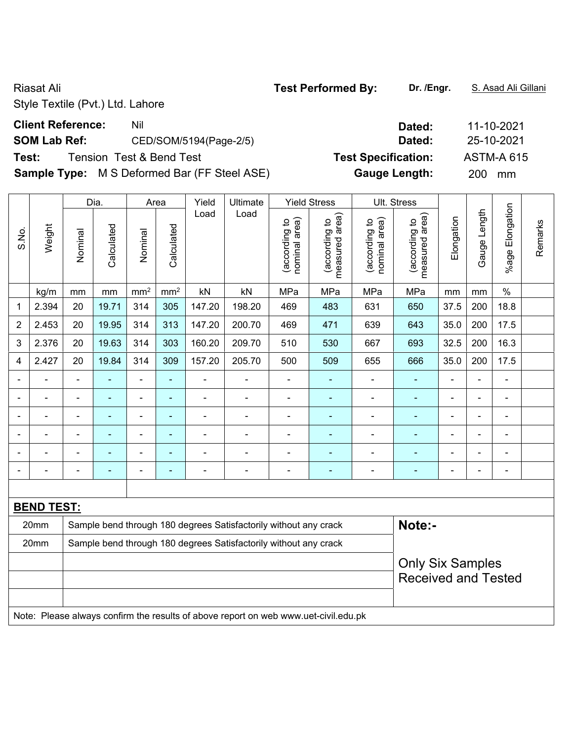# **Client Reference:** Nil Nil 2021

# **SOM Lab Ref:** CED/SOM/5194(Page-2/5) **Dated:** 25-10-2021

**Test:** Tension Test & Bend Test **Test Specification:** ASTM-A 615

**Sample Type:** M S Deformed Bar (FF Steel ASE) **Gauge Length:** 200 mm

|                          |                   |                | Dia.           | Area            |                 | Yield          | Ultimate                                                                            |                                | <b>Yield Stress</b>             |                                | Ult. Stress                     |                          |                |                          |         |
|--------------------------|-------------------|----------------|----------------|-----------------|-----------------|----------------|-------------------------------------------------------------------------------------|--------------------------------|---------------------------------|--------------------------------|---------------------------------|--------------------------|----------------|--------------------------|---------|
| S.No.                    | Weight            | Nominal        | Calculated     | Nominal         | Calculated      | Load           | Load                                                                                | nominal area)<br>(according to | measured area)<br>(according to | nominal area)<br>(according to | measured area)<br>(according to | Elongation               | Gauge Length   | %age Elongation          | Remarks |
|                          | kg/m              | mm             | mm             | mm <sup>2</sup> | mm <sup>2</sup> | kN             | kN                                                                                  | MPa                            | MPa                             | MPa                            | MPa                             | mm                       | mm             | $\%$                     |         |
| 1                        | 2.394             | 20             | 19.71          | 314             | 305             | 147.20         | 198.20                                                                              | 469                            | 483                             | 631                            | 650                             | 37.5                     | 200            | 18.8                     |         |
| $\overline{2}$           | 2.453             | 20             | 19.95          | 314             | 313             | 147.20         | 200.70                                                                              | 469                            | 471                             | 639                            | 643                             | 35.0                     | 200            | 17.5                     |         |
| 3                        | 2.376             | 20             | 19.63          | 314             | 303             | 160.20         | 209.70                                                                              | 510                            | 530                             | 667                            | 693                             | 32.5                     | 200            | 16.3                     |         |
| 4                        | 2.427             | 20             | 19.84          | 314             | 309             | 157.20         | 205.70                                                                              | 500                            | 509                             | 655                            | 666                             | 35.0                     | 200            | 17.5                     |         |
|                          |                   | $\blacksquare$ | $\blacksquare$ | $\blacksquare$  | ä,              | $\blacksquare$ | ä,                                                                                  | $\blacksquare$                 | ÷                               | $\blacksquare$                 | $\blacksquare$                  | $\blacksquare$           | $\blacksquare$ | $\blacksquare$           |         |
|                          |                   | $\blacksquare$ | ä,             | $\blacksquare$  | ٠               | $\blacksquare$ | $\blacksquare$                                                                      | $\blacksquare$                 | ÷                               | ÷                              | $\blacksquare$                  | $\overline{\phantom{a}}$ | $\blacksquare$ | $\blacksquare$           |         |
| $\overline{\phantom{0}}$ | $\blacksquare$    | $\blacksquare$ | $\blacksquare$ | $\blacksquare$  | ÷               | ÷,             | $\overline{\phantom{a}}$                                                            | $\blacksquare$                 | ÷                               | ä,                             | $\blacksquare$                  | $\blacksquare$           | ä,             | $\blacksquare$           |         |
|                          | $\overline{a}$    | $\blacksquare$ | $\blacksquare$ | $\frac{1}{2}$   | ä,              | ÷,             | ÷                                                                                   | ä,                             | ÷                               | ÷                              | ÷                               | $\blacksquare$           | $\blacksquare$ | $\blacksquare$           |         |
|                          |                   |                | ä,             | $\blacksquare$  | ۰               | ÷              | ä,                                                                                  | L,                             | ä,                              | ÷                              | ÷                               | $\blacksquare$           | L              | $\blacksquare$           |         |
|                          |                   | $\blacksquare$ | -              | ۰               | ۰               | ۰              | ٠                                                                                   | $\blacksquare$                 | $\overline{a}$                  |                                | $\overline{\phantom{a}}$        | Ē,                       | $\blacksquare$ | $\overline{\phantom{a}}$ |         |
|                          |                   |                |                |                 |                 |                |                                                                                     |                                |                                 |                                |                                 |                          |                |                          |         |
|                          | <b>BEND TEST:</b> |                |                |                 |                 |                |                                                                                     |                                |                                 |                                |                                 |                          |                |                          |         |
|                          | 20mm              |                |                |                 |                 |                | Sample bend through 180 degrees Satisfactorily without any crack                    |                                |                                 |                                | Note:-                          |                          |                |                          |         |
|                          | 20mm              |                |                |                 |                 |                | Sample bend through 180 degrees Satisfactorily without any crack                    |                                |                                 |                                |                                 |                          |                |                          |         |
|                          |                   |                |                |                 |                 |                |                                                                                     |                                |                                 |                                | <b>Only Six Samples</b>         |                          |                |                          |         |
|                          |                   |                |                |                 |                 |                |                                                                                     |                                |                                 |                                | <b>Received and Tested</b>      |                          |                |                          |         |
|                          |                   |                |                |                 |                 |                |                                                                                     |                                |                                 |                                |                                 |                          |                |                          |         |
|                          |                   |                |                |                 |                 |                | Note: Please always confirm the results of above report on web www.uet-civil.edu.pk |                                |                                 |                                |                                 |                          |                |                          |         |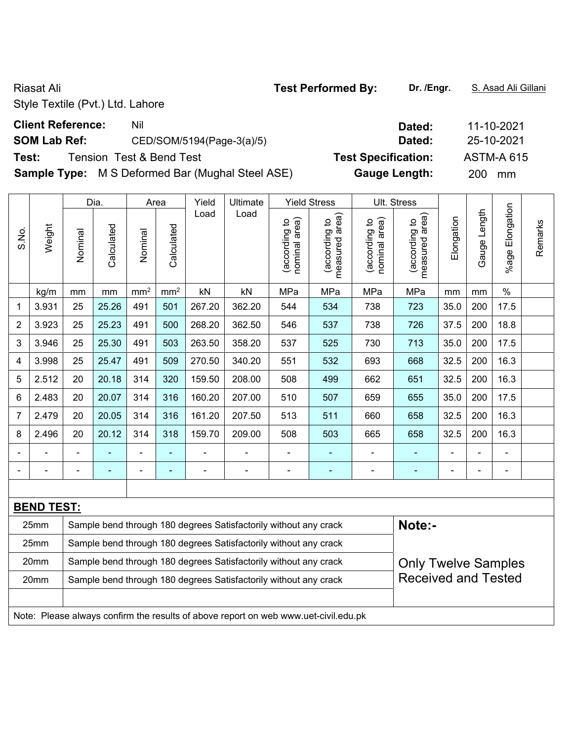**Test:** Tension Test & Bend Test **Test Specification:** ASTM-A 615

**Sample Type:** M S Deformed Bar (Mughal Steel ASE) **Gauge Length:** 200 mm

|                |                   |         | Dia.       |                              | Area            | Yield  | Ultimate                                                                            |                                | <b>Yield Stress</b>             |                                | Ult. Stress                     |                |                |                      |         |
|----------------|-------------------|---------|------------|------------------------------|-----------------|--------|-------------------------------------------------------------------------------------|--------------------------------|---------------------------------|--------------------------------|---------------------------------|----------------|----------------|----------------------|---------|
| S.No.          | Weight            | Nominal | Calculated | Nominal                      | Calculated      | Load   | Load                                                                                | nominal area)<br>(according to | (according to<br>measured area) | nominal area)<br>(according to | (according to<br>measured area) | Elongation     | Gauge Length   | Elongation<br>%age I | Remarks |
|                | kg/m              | mm      | mm         | mm <sup>2</sup>              | mm <sup>2</sup> | kN     | kN                                                                                  | MPa                            | MPa                             | MPa                            | MPa                             | mm             | mm             | $\%$                 |         |
| 1              | 3.931             | 25      | 25.26      | 491                          | 501             | 267.20 | 362.20                                                                              | 544                            | 534                             | 738                            | 723                             | 35.0           | 200            | 17.5                 |         |
| 2              | 3.923             | 25      | 25.23      | 491                          | 500             | 268.20 | 362.50                                                                              | 546                            | 537                             | 738                            | 726                             | 37.5           | 200            | 18.8                 |         |
| 3              | 3.946             | 25      | 25.30      | 491                          | 503             | 263.50 | 358.20                                                                              | 537                            | 525                             | 730                            | 713                             | 35.0           | 200            | 17.5                 |         |
| 4              | 3.998             | 25      | 25.47      | 491                          | 509             | 270.50 | 340.20                                                                              | 551                            | 532                             | 693                            | 668                             | 32.5           | 200            | 16.3                 |         |
| 5              | 2.512             | 20      | 20.18      | 314                          | 320             | 159.50 | 208.00                                                                              | 508                            | 499                             | 662                            | 651                             | 32.5           | 200            | 16.3                 |         |
| 6              | 2.483             | 20      | 20.07      | 314                          | 316             | 160.20 | 207.00                                                                              | 510                            | 507                             | 659                            | 655                             | 35.0           | 200            | 17.5                 |         |
| $\overline{7}$ | 2.479             | 20      | 20.05      | 314                          | 316             | 161.20 | 207.50                                                                              | 513                            | 511                             | 660                            | 658                             | 32.5           | 200            | 16.3                 |         |
| 8              | 2.496             | 20      | 20.12      | 314                          | 318             | 159.70 | 209.00                                                                              | 508                            | 503                             | 665                            | 658                             | 32.5           | 200            | 16.3                 |         |
|                |                   |         |            | $\blacksquare$               |                 | ÷      |                                                                                     | $\blacksquare$                 | $\blacksquare$                  | ۰                              |                                 |                |                |                      |         |
|                |                   |         |            | $\qquad \qquad \blacksquare$ | ۰               | -      | ÷                                                                                   | $\blacksquare$                 | ٠                               | ÷                              | ۰                               | $\blacksquare$ | $\blacksquare$ | $\blacksquare$       |         |
|                |                   |         |            |                              |                 |        |                                                                                     |                                |                                 |                                |                                 |                |                |                      |         |
|                | <b>BEND TEST:</b> |         |            |                              |                 |        |                                                                                     |                                |                                 |                                |                                 |                |                |                      |         |
|                | 25mm              |         |            |                              |                 |        | Sample bend through 180 degrees Satisfactorily without any crack                    |                                |                                 |                                | Note:-                          |                |                |                      |         |
|                | 25mm              |         |            |                              |                 |        | Sample bend through 180 degrees Satisfactorily without any crack                    |                                |                                 |                                |                                 |                |                |                      |         |
|                | 20mm              |         |            |                              |                 |        | Sample bend through 180 degrees Satisfactorily without any crack                    |                                |                                 |                                | <b>Only Twelve Samples</b>      |                |                |                      |         |
|                | 20mm              |         |            |                              |                 |        | Sample bend through 180 degrees Satisfactorily without any crack                    |                                |                                 |                                | <b>Received and Tested</b>      |                |                |                      |         |
|                |                   |         |            |                              |                 |        |                                                                                     |                                |                                 |                                |                                 |                |                |                      |         |
|                |                   |         |            |                              |                 |        | Note: Please always confirm the results of above report on web www.uet-civil.edu.pk |                                |                                 |                                |                                 |                |                |                      |         |

# **Client Reference:** Nil Nil 2021 **SOM Lab Ref:** CED/SOM/5194(Page-3(a)/5) **Dated:** 25-10-2021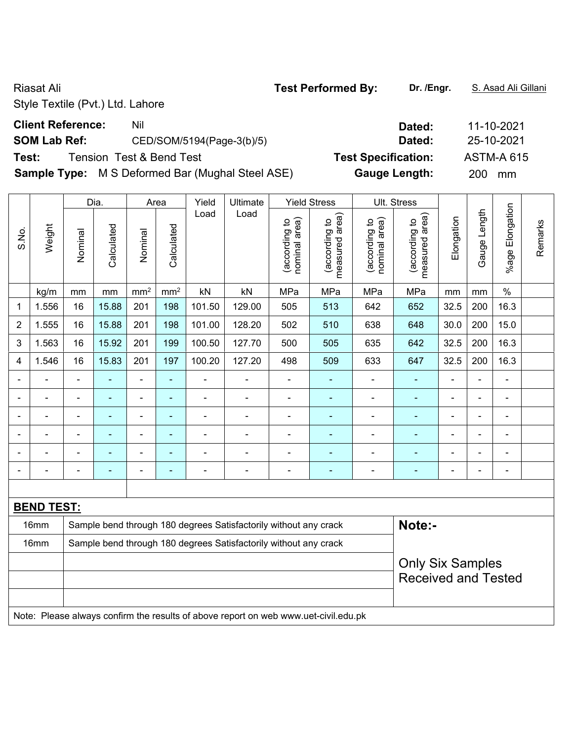# **Client Reference:** Nil Nil 2021

### **SOM Lab Ref:** CED/SOM/5194(Page-3(b)/5) **Dated:** 25-10-2021

# **Test:** Tension Test & Bend Test **Test Specification:** ASTM-A 615

**Sample Type:** M S Deformed Bar (Mughal Steel ASE) **Gauge Length:** 200 mm

|                |                   |                | Dia.                     |                 | Area            | Yield                    | <b>Ultimate</b>                                                                     |                                | <b>Yield Stress</b>             |                                | <b>Ult. Stress</b>                                    |                |                |                          |         |
|----------------|-------------------|----------------|--------------------------|-----------------|-----------------|--------------------------|-------------------------------------------------------------------------------------|--------------------------------|---------------------------------|--------------------------------|-------------------------------------------------------|----------------|----------------|--------------------------|---------|
| S.No.          | Weight            | Nominal        | Calculated               | Nominal         | Calculated      | Load                     | Load                                                                                | nominal area)<br>(according to | (according to<br>measured area) | nominal area)<br>(according to | (according to<br>measured area)                       | Elongation     | Gauge Length   | Elongation<br>$%$ age    | Remarks |
|                | kg/m              | mm             | mm                       | mm <sup>2</sup> | mm <sup>2</sup> | kN                       | kN                                                                                  | MPa                            | MPa                             | MPa                            | MPa                                                   | mm             | mm             | $\%$                     |         |
| 1              | 1.556             | 16             | 15.88                    | 201             | 198             | 101.50                   | 129.00                                                                              | 505                            | 513                             | 642                            | 652                                                   | 32.5           | 200            | 16.3                     |         |
| 2              | 1.555             | 16             | 15.88                    | 201             | 198             | 101.00                   | 128.20                                                                              | 502                            | 510                             | 638                            | 648                                                   | 30.0           | 200            | 15.0                     |         |
| 3              | 1.563             | 16             | 15.92                    | 201             | 199             | 100.50                   | 127.70                                                                              | 500                            | 505                             | 635                            | 642                                                   | 32.5           | 200            | 16.3                     |         |
| 4              | 1.546             | 16             | 15.83                    | 201             | 197             | 100.20                   | 127.20                                                                              | 498                            | 509                             | 633                            | 647                                                   | 32.5           | 200            | 16.3                     |         |
|                |                   | $\blacksquare$ | ÷,                       | $\blacksquare$  | ä,              | ÷,                       | $\blacksquare$                                                                      | ä,                             | $\blacksquare$                  | $\overline{a}$                 | $\blacksquare$                                        | ä,             | $\blacksquare$ | $\blacksquare$           |         |
|                |                   | ä,             | ä,                       | $\blacksquare$  | ä,              | ÷.                       | $\blacksquare$                                                                      | $\blacksquare$                 | $\blacksquare$                  | ÷,                             | $\blacksquare$                                        |                |                | ä,                       |         |
|                |                   |                |                          |                 |                 | $\overline{\phantom{0}}$ | $\blacksquare$                                                                      | $\qquad \qquad \blacksquare$   | ٠                               | $\overline{a}$                 | ٠                                                     | $\blacksquare$ |                | $\blacksquare$           |         |
| $\blacksquare$ |                   | $\blacksquare$ | $\overline{\phantom{0}}$ | ۰               | $\blacksquare$  | $\blacksquare$           | $\blacksquare$                                                                      | $\overline{a}$                 | ٠                               | $\overline{\phantom{0}}$       | $\blacksquare$                                        | $\blacksquare$ |                | $\blacksquare$           |         |
|                |                   |                | ÷                        | $\blacksquare$  | $\blacksquare$  | ÷                        | $\blacksquare$                                                                      | $\blacksquare$                 | ٠                               | $\blacksquare$                 | $\blacksquare$                                        | L,             |                | $\blacksquare$           |         |
|                |                   | $\blacksquare$ | ÷                        | ۰               | $\blacksquare$  | $\overline{a}$           | $\overline{\phantom{a}}$                                                            | $\blacksquare$                 | $\blacksquare$                  | $\overline{a}$                 | $\blacksquare$                                        | ä,             | $\blacksquare$ | $\overline{\phantom{a}}$ |         |
|                |                   |                |                          |                 |                 |                          |                                                                                     |                                |                                 |                                |                                                       |                |                |                          |         |
|                | <b>BEND TEST:</b> |                |                          |                 |                 |                          |                                                                                     |                                |                                 |                                |                                                       |                |                |                          |         |
|                | 16mm              |                |                          |                 |                 |                          | Sample bend through 180 degrees Satisfactorily without any crack                    |                                |                                 |                                | Note:-                                                |                |                |                          |         |
|                | 16mm              |                |                          |                 |                 |                          | Sample bend through 180 degrees Satisfactorily without any crack                    |                                |                                 |                                |                                                       |                |                |                          |         |
|                |                   |                |                          |                 |                 |                          |                                                                                     |                                |                                 |                                | <b>Only Six Samples</b><br><b>Received and Tested</b> |                |                |                          |         |
|                |                   |                |                          |                 |                 |                          | Note: Please always confirm the results of above report on web www.uet-civil.edu.pk |                                |                                 |                                |                                                       |                |                |                          |         |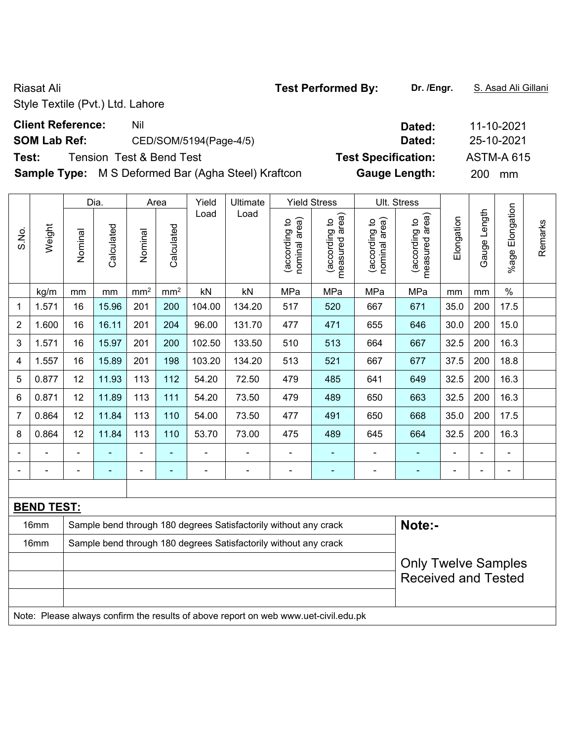# **Client Reference:** Nil Nil 2021

## **SOM Lab Ref:** CED/SOM/5194(Page-4/5) **Dated:** 25-10-2021

**Test:** Tension Test & Bend Test **Test Specification:** ASTM-A 615

**Sample Type:** M S Deformed Bar (Agha Steel) Kraftcon **Gauge Length:** 200 mm

|                 |                   |         | Dia.           |                 | Area            | Yield          | Ultimate                                                                            |                                | <b>Yield Stress</b>             |                                | Ult. Stress                     |                |                |                 |         |
|-----------------|-------------------|---------|----------------|-----------------|-----------------|----------------|-------------------------------------------------------------------------------------|--------------------------------|---------------------------------|--------------------------------|---------------------------------|----------------|----------------|-----------------|---------|
| S.No.           | Weight            | Nominal | Calculated     | Nominal         | Calculated      | Load           | Load                                                                                | nominal area)<br>(according to | measured area)<br>(according to | nominal area)<br>(according to | measured area)<br>(according to | Elongation     | Gauge Length   | %age Elongation | Remarks |
|                 | kg/m              | mm      | mm             | mm <sup>2</sup> | mm <sup>2</sup> | kN             | kN                                                                                  | MPa                            | MPa                             | MPa                            | MPa                             | mm             | mm             | $\%$            |         |
| 1               | 1.571             | 16      | 15.96          | 201             | 200             | 104.00         | 134.20                                                                              | 517                            | 520                             | 667                            | 671                             | 35.0           | 200            | 17.5            |         |
| 2               | 1.600             | 16      | 16.11          | 201             | 204             | 96.00          | 131.70                                                                              | 477                            | 471                             | 655                            | 646                             | 30.0           | 200            | 15.0            |         |
| 3               | 1.571             | 16      | 15.97          | 201             | 200             | 102.50         | 133.50                                                                              | 510                            | 513                             | 664                            | 667                             | 32.5           | 200            | 16.3            |         |
| 4               | 1.557             | 16      | 15.89          | 201             | 198             | 103.20         | 134.20                                                                              | 513                            | 521                             | 667                            | 677                             | 37.5           | 200            | 18.8            |         |
| 5               | 0.877             | 12      | 11.93          | 113             | 112             | 54.20          | 72.50                                                                               | 479                            | 485                             | 641                            | 649                             | 32.5           | 200            | 16.3            |         |
| $6\phantom{1}6$ | 0.871             | 12      | 11.89          | 113             | 111             | 54.20          | 73.50                                                                               | 479                            | 489                             | 650                            | 663                             | 32.5           | 200            | 16.3            |         |
| $\overline{7}$  | 0.864             | 12      | 11.84          | 113             | 110             | 54.00          | 73.50                                                                               | 477                            | 491                             | 650                            | 668                             | 35.0           | 200            | 17.5            |         |
| 8               | 0.864             | 12      | 11.84          | 113             | 110             | 53.70          | 73.00                                                                               | 475                            | 489                             | 645                            | 664                             | 32.5           | 200            | 16.3            |         |
|                 |                   |         | $\blacksquare$ | $\blacksquare$  | ٠               | $\blacksquare$ | $\blacksquare$                                                                      | $\blacksquare$                 | $\blacksquare$                  | $\blacksquare$                 | ٠                               |                |                | $\blacksquare$  |         |
| $\blacksquare$  |                   | L,      | $\blacksquare$ | ۰               | $\blacksquare$  | $\blacksquare$ | $\overline{\phantom{a}}$                                                            | $\blacksquare$                 | $\blacksquare$                  | $\blacksquare$                 | $\blacksquare$                  | $\blacksquare$ | $\blacksquare$ | $\blacksquare$  |         |
|                 |                   |         |                |                 |                 |                |                                                                                     |                                |                                 |                                |                                 |                |                |                 |         |
|                 | <b>BEND TEST:</b> |         |                |                 |                 |                |                                                                                     |                                |                                 |                                |                                 |                |                |                 |         |
|                 | 16mm              |         |                |                 |                 |                | Sample bend through 180 degrees Satisfactorily without any crack                    |                                |                                 |                                | Note:-                          |                |                |                 |         |
|                 | 16mm              |         |                |                 |                 |                | Sample bend through 180 degrees Satisfactorily without any crack                    |                                |                                 |                                |                                 |                |                |                 |         |
|                 |                   |         |                |                 |                 |                |                                                                                     |                                |                                 |                                | <b>Only Twelve Samples</b>      |                |                |                 |         |
|                 |                   |         |                |                 |                 |                |                                                                                     |                                |                                 |                                | <b>Received and Tested</b>      |                |                |                 |         |
|                 |                   |         |                |                 |                 |                |                                                                                     |                                |                                 |                                |                                 |                |                |                 |         |
|                 |                   |         |                |                 |                 |                | Note: Please always confirm the results of above report on web www.uet-civil.edu.pk |                                |                                 |                                |                                 |                |                |                 |         |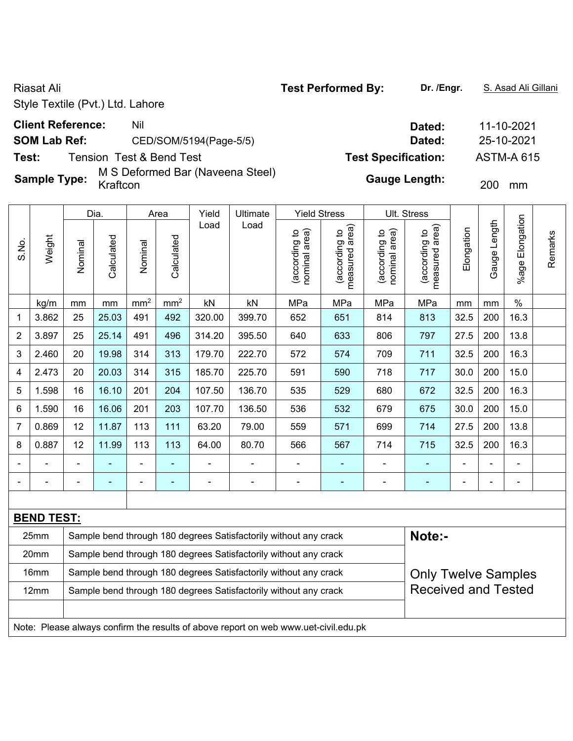**Sample Type:** M S Deformed Bar (Naveena Steel)

|                |                   |                | Dia.       |                 | Area            | Yield          | Ultimate                                                                            | <b>Yield Stress</b>            |                                 |                                | Ult. Stress                     |            |              |                       |         |
|----------------|-------------------|----------------|------------|-----------------|-----------------|----------------|-------------------------------------------------------------------------------------|--------------------------------|---------------------------------|--------------------------------|---------------------------------|------------|--------------|-----------------------|---------|
| S.No.          | Weight            | Nominal        | Calculated | Nominal         | Calculated      | Load           | Load                                                                                | (according to<br>nominal area) | (according to<br>measured area) | (according to<br>nominal area) | measured area)<br>(according to | Elongation | Gauge Length | Elongation<br>$%$ age | Remarks |
|                | kg/m              | mm             | mm         | mm <sup>2</sup> | mm <sup>2</sup> | kN             | kN                                                                                  | MPa                            | MPa                             | MPa                            | MPa                             | mm         | mm           | $\%$                  |         |
| $\mathbf 1$    | 3.862             | 25             | 25.03      | 491             | 492             | 320.00         | 399.70                                                                              | 652                            | 651                             | 814                            | 813                             | 32.5       | 200          | 16.3                  |         |
| $\overline{2}$ | 3.897             | 25             | 25.14      | 491             | 496             | 314.20         | 395.50                                                                              | 640                            | 633                             | 806                            | 797                             | 27.5       | 200          | 13.8                  |         |
| $\mathfrak{S}$ | 2.460             | 20             | 19.98      | 314             | 313             | 179.70         | 222.70                                                                              | 572                            | 574                             | 709                            | 711                             | 32.5       | 200          | 16.3                  |         |
| 4              | 2.473             | 20             | 20.03      | 314             | 315             | 185.70         | 225.70                                                                              | 591                            | 590                             | 718                            | 717                             | 30.0       | 200          | 15.0                  |         |
| 5              | 1.598             | 16             | 16.10      | 201             | 204             | 107.50         | 136.70                                                                              | 535                            | 529                             | 680                            | 672                             | 32.5       | 200          | 16.3                  |         |
| 6              | 1.590             | 16             | 16.06      | 201             | 203             | 107.70         | 136.50                                                                              | 536                            | 532                             | 679                            | 675                             | 30.0       | 200          | 15.0                  |         |
| $\overline{7}$ | 0.869             | 12             | 11.87      | 113             | 111             | 63.20          | 79.00                                                                               | 559                            | 571                             | 699                            | 714                             | 27.5       | 200          | 13.8                  |         |
| $\bf 8$        | 0.887             | 12             | 11.99      | 113             | 113             | 64.00          | 80.70                                                                               | 566                            | 567                             | 714                            | 715                             | 32.5       | 200          | 16.3                  |         |
|                |                   |                |            |                 |                 |                |                                                                                     |                                |                                 |                                |                                 |            |              | ÷,                    |         |
|                |                   | $\blacksquare$ |            | -               | $\blacksquare$  | $\blacksquare$ | $\blacksquare$                                                                      | $\blacksquare$                 | ٠                               | $\blacksquare$                 | $\blacksquare$                  | ÷          |              | $\blacksquare$        |         |
|                |                   |                |            |                 |                 |                |                                                                                     |                                |                                 |                                |                                 |            |              |                       |         |
|                | <b>BEND TEST:</b> |                |            |                 |                 |                |                                                                                     |                                |                                 |                                |                                 |            |              |                       |         |
|                | 25mm              |                |            |                 |                 |                | Sample bend through 180 degrees Satisfactorily without any crack                    |                                |                                 |                                | Note:-                          |            |              |                       |         |
|                | 20mm              |                |            |                 |                 |                | Sample bend through 180 degrees Satisfactorily without any crack                    |                                |                                 |                                |                                 |            |              |                       |         |
|                | 16mm              |                |            |                 |                 |                | Sample bend through 180 degrees Satisfactorily without any crack                    |                                |                                 |                                | <b>Only Twelve Samples</b>      |            |              |                       |         |
|                | 12mm              |                |            |                 |                 |                | Sample bend through 180 degrees Satisfactorily without any crack                    |                                |                                 |                                | <b>Received and Tested</b>      |            |              |                       |         |
|                |                   |                |            |                 |                 |                |                                                                                     |                                |                                 |                                |                                 |            |              |                       |         |
|                |                   |                |            |                 |                 |                | Note: Please always confirm the results of above report on web www.uet-civil.edu.pk |                                |                                 |                                |                                 |            |              |                       |         |

**Client Reference:** Nil Nil 2021 **SOM Lab Ref:** CED/SOM/5194(Page-5/5) **Dated:** 25-10-2021 **Test:** Tension Test & Bend Test **Test Specification:** ASTM-A 615

Gauge Length: 200 mm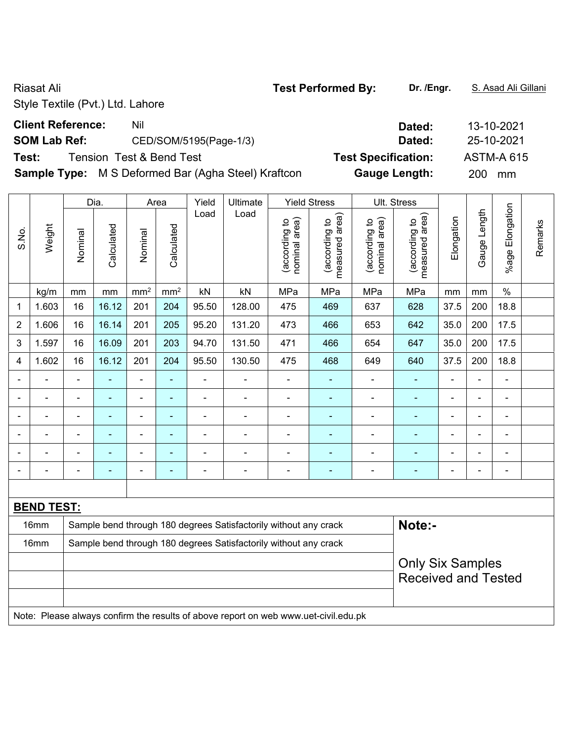# **Client Reference:** Nil Nil 2021

## **SOM Lab Ref:** CED/SOM/5195(Page-1/3) **Dated:** 25-10-2021

**Test:** Tension Test & Bend Test **Test Specification:** ASTM-A 615

**Sample Type:** M S Deformed Bar (Agha Steel) Kraftcon **Gauge Length:** 200 mm

|                |                   |                | Dia.                     |                 | Area            | Yield                        | Ultimate                                                                            |                                | <b>Yield Stress</b>             |                                | Ult. Stress                     |            |                |                             |         |
|----------------|-------------------|----------------|--------------------------|-----------------|-----------------|------------------------------|-------------------------------------------------------------------------------------|--------------------------------|---------------------------------|--------------------------------|---------------------------------|------------|----------------|-----------------------------|---------|
| S.No.          | Weight            | Nominal        | Calculated               | Nominal         | Calculated      | Load                         | Load                                                                                | nominal area)<br>(according to | measured area)<br>(according to | (according to<br>nominal area) | measured area)<br>(according to | Elongation | Gauge Length   | Elongation<br><b>Mage I</b> | Remarks |
|                | kg/m              | mm             | mm                       | mm <sup>2</sup> | mm <sup>2</sup> | kN                           | kN                                                                                  | MPa                            | MPa                             | MPa                            | MPa                             | mm         | mm             | $\%$                        |         |
| 1              | 1.603             | 16             | 16.12                    | 201             | 204             | 95.50                        | 128.00                                                                              | 475                            | 469                             | 637                            | 628                             | 37.5       | 200            | 18.8                        |         |
| $\overline{2}$ | 1.606             | 16             | 16.14                    | 201             | 205             | 95.20                        | 131.20                                                                              | 473                            | 466                             | 653                            | 642                             | 35.0       | 200            | 17.5                        |         |
| 3              | 1.597             | 16             | 16.09                    | 201             | 203             | 94.70                        | 131.50                                                                              | 471                            | 466                             | 654                            | 647                             | 35.0       | 200            | 17.5                        |         |
| 4              | 1.602             | 16             | 16.12                    | 201             | 204             | 95.50                        | 130.50                                                                              | 475                            | 468                             | 649                            | 640                             | 37.5       | 200            | 18.8                        |         |
|                |                   | ä,             | ä,                       | ÷,              | $\blacksquare$  | $\blacksquare$               | ÷,                                                                                  | $\overline{\phantom{a}}$       | $\blacksquare$                  | Ĭ.                             | $\blacksquare$                  | ÷.         | -              | Ē,                          |         |
|                | ÷                 | $\blacksquare$ | ÷                        | ÷,              | $\blacksquare$  | $\blacksquare$               | $\blacksquare$                                                                      | $\blacksquare$                 | $\blacksquare$                  | $\blacksquare$                 | $\blacksquare$                  | ۰          | ÷              | ä,                          |         |
|                |                   | $\blacksquare$ | $\blacksquare$           | $\blacksquare$  | ä,              | $\blacksquare$               | $\blacksquare$                                                                      | $\blacksquare$                 | $\blacksquare$                  | $\blacksquare$                 | ٠                               | ۰          |                | ÷                           |         |
|                |                   |                |                          |                 | Ē,              | $\blacksquare$               | ÷                                                                                   |                                |                                 |                                |                                 |            | Ē,             | L.                          |         |
|                |                   |                |                          | $\blacksquare$  | $\blacksquare$  | L,                           | $\blacksquare$                                                                      |                                |                                 |                                |                                 |            |                |                             |         |
| $\blacksquare$ |                   | $\blacksquare$ | $\overline{\phantom{0}}$ | ۰               | $\blacksquare$  | $\qquad \qquad \blacksquare$ | $\blacksquare$                                                                      | ۰                              | ٠                               | ۰                              | ٠                               | ۰          | $\blacksquare$ | ÷                           |         |
|                |                   |                |                          |                 |                 |                              |                                                                                     |                                |                                 |                                |                                 |            |                |                             |         |
|                | <b>BEND TEST:</b> |                |                          |                 |                 |                              |                                                                                     |                                |                                 |                                |                                 |            |                |                             |         |
|                | 16mm              |                |                          |                 |                 |                              | Sample bend through 180 degrees Satisfactorily without any crack                    |                                |                                 |                                | Note:-                          |            |                |                             |         |
|                | 16mm              |                |                          |                 |                 |                              | Sample bend through 180 degrees Satisfactorily without any crack                    |                                |                                 |                                |                                 |            |                |                             |         |
|                |                   |                |                          |                 |                 |                              |                                                                                     |                                |                                 |                                | <b>Only Six Samples</b>         |            |                |                             |         |
|                |                   |                |                          |                 |                 |                              |                                                                                     |                                |                                 |                                | <b>Received and Tested</b>      |            |                |                             |         |
|                |                   |                |                          |                 |                 |                              |                                                                                     |                                |                                 |                                |                                 |            |                |                             |         |
|                |                   |                |                          |                 |                 |                              | Note: Please always confirm the results of above report on web www.uet-civil.edu.pk |                                |                                 |                                |                                 |            |                |                             |         |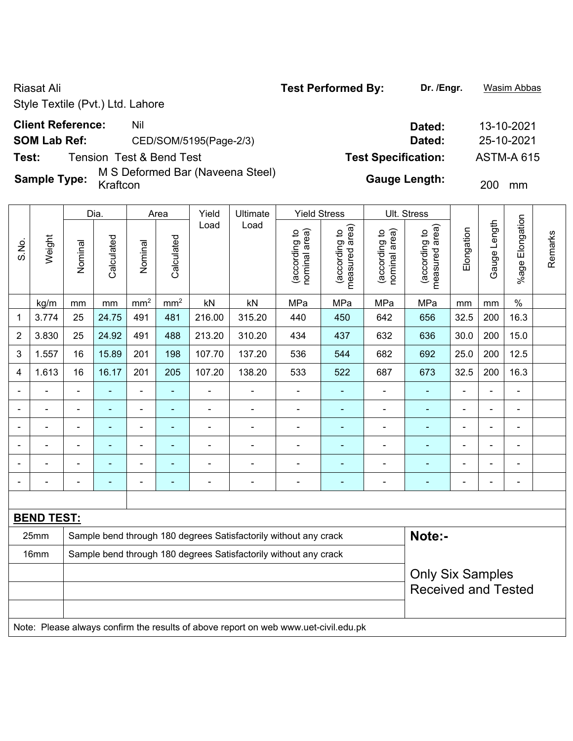**Test:** Tension Test & Bend Test **Test Specification:** ASTM-A 615

**Sample Type:** M S Deformed Bar (Naveena Steel)

|                |                   |                | Dia.       |                 | Area            | Yield          | <b>Ultimate</b>                                                                     | <b>Yield Stress</b>            |                                 |                                | <b>Ult. Stress</b>              |                |                |                          |         |
|----------------|-------------------|----------------|------------|-----------------|-----------------|----------------|-------------------------------------------------------------------------------------|--------------------------------|---------------------------------|--------------------------------|---------------------------------|----------------|----------------|--------------------------|---------|
| S.No.          | Weight            | Nominal        | Calculated | Nominal         | Calculated      | Load           | Load                                                                                | nominal area)<br>(according to | (according to<br>measured area) | (according to<br>nominal area) | measured area)<br>(according to | Elongation     | Gauge Length   | Elongation<br>$%$ age    | Remarks |
|                | kg/m              | mm             | mm         | mm <sup>2</sup> | mm <sup>2</sup> | kN             | kN                                                                                  | MPa                            | MPa                             | MPa                            | MPa                             | mm             | mm             | $\frac{0}{0}$            |         |
| $\mathbf{1}$   | 3.774             | 25             | 24.75      | 491             | 481             | 216.00         | 315.20                                                                              | 440                            | 450                             | 642                            | 656                             | 32.5           | 200            | 16.3                     |         |
| $\overline{2}$ | 3.830             | 25             | 24.92      | 491             | 488             | 213.20         | 310.20                                                                              | 434                            | 437                             | 632                            | 636                             | 30.0           | 200            | 15.0                     |         |
| $\mathbf{3}$   | 1.557             | 16             | 15.89      | 201             | 198             | 107.70         | 137.20                                                                              | 536                            | 544                             | 682                            | 692                             | 25.0           | 200            | 12.5                     |         |
| 4              | 1.613             | 16             | 16.17      | 201             | 205             | 107.20         | 138.20                                                                              | 533                            | 522                             | 687                            | 673                             | 32.5           | 200            | 16.3                     |         |
|                |                   | $\blacksquare$ |            | ä,              | L,              | $\blacksquare$ | ÷                                                                                   | $\frac{1}{2}$                  | $\blacksquare$                  | $\overline{\phantom{a}}$       | $\blacksquare$                  | $\blacksquare$ | $\blacksquare$ | $\blacksquare$           |         |
|                |                   | $\blacksquare$ |            | $\blacksquare$  | ÷,              | $\blacksquare$ | ÷                                                                                   | ÷.                             | $\blacksquare$                  | $\blacksquare$                 | ä,                              | $\blacksquare$ |                | Ē,                       |         |
|                |                   |                |            | $\blacksquare$  |                 | $\blacksquare$ | $\blacksquare$                                                                      | $\blacksquare$                 | $\blacksquare$                  | $\blacksquare$                 | $\blacksquare$                  | $\blacksquare$ |                |                          |         |
|                |                   | $\blacksquare$ | ۰          | $\blacksquare$  |                 | $\blacksquare$ | ÷                                                                                   | $\blacksquare$                 |                                 | ÷                              |                                 | $\blacksquare$ | ÷              | ÷                        |         |
|                |                   |                |            | $\blacksquare$  |                 | $\blacksquare$ |                                                                                     | ÷                              |                                 | ÷                              |                                 | $\blacksquare$ |                | $\overline{\phantom{0}}$ |         |
|                |                   | $\blacksquare$ |            | ۰               |                 | $\blacksquare$ | ÷                                                                                   | ۰                              | $\blacksquare$                  | ÷                              | ٠                               | $\blacksquare$ |                | $\overline{\phantom{0}}$ |         |
|                |                   |                |            |                 |                 |                |                                                                                     |                                |                                 |                                |                                 |                |                |                          |         |
|                | <b>BEND TEST:</b> |                |            |                 |                 |                |                                                                                     |                                |                                 |                                |                                 |                |                |                          |         |
|                | 25mm              |                |            |                 |                 |                | Sample bend through 180 degrees Satisfactorily without any crack                    |                                |                                 |                                | Note:-                          |                |                |                          |         |
|                | 16mm              |                |            |                 |                 |                | Sample bend through 180 degrees Satisfactorily without any crack                    |                                |                                 |                                |                                 |                |                |                          |         |
|                |                   |                |            |                 |                 |                |                                                                                     |                                |                                 |                                | <b>Only Six Samples</b>         |                |                |                          |         |
|                |                   |                |            |                 |                 |                |                                                                                     |                                |                                 |                                | <b>Received and Tested</b>      |                |                |                          |         |
|                |                   |                |            |                 |                 |                |                                                                                     |                                |                                 |                                |                                 |                |                |                          |         |
|                |                   |                |            |                 |                 |                | Note: Please always confirm the results of above report on web www.uet-civil.edu.pk |                                |                                 |                                |                                 |                |                |                          |         |

**Client Reference:** Nil Nil 2021 **SOM Lab Ref:** CED/SOM/5195(Page-2/3) **Dated:** 25-10-2021

Gauge Length: 200 mm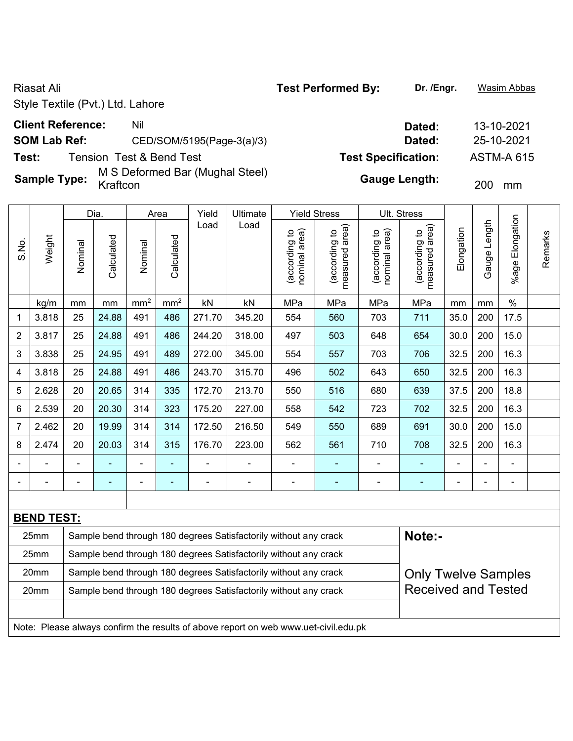**Sample Type:** M S Deformed Bar (Mughal Steel)

|                           |                   |                | Dia.       |                 | Area            | Yield          | Ultimate                                                                            | <b>Yield Stress</b>           |                                 |                                | Ult. Stress                     |            |              |                       |         |
|---------------------------|-------------------|----------------|------------|-----------------|-----------------|----------------|-------------------------------------------------------------------------------------|-------------------------------|---------------------------------|--------------------------------|---------------------------------|------------|--------------|-----------------------|---------|
| S.No.                     | Weight            | Nominal        | Calculated | Nominal         | Calculated      | Load           | Load                                                                                | nominal area)<br>according to | (according to<br>measured area) | nominal area)<br>(according to | measured area)<br>(according to | Elongation | Gauge Length | Elongation<br>$%$ age | Remarks |
|                           | kg/m              | mm             | mm         | mm <sup>2</sup> | mm <sup>2</sup> | kN             | kN                                                                                  | MPa                           | MPa                             | MPa                            | MPa                             | mm         | mm           | $\frac{0}{0}$         |         |
| 1                         | 3.818             | 25             | 24.88      | 491             | 486             | 271.70         | 345.20                                                                              | 554                           | 560                             | 703                            | 711                             | 35.0       | 200          | 17.5                  |         |
| $\overline{2}$            | 3.817             | 25             | 24.88      | 491             | 486             | 244.20         | 318.00                                                                              | 497                           | 503                             | 648                            | 654                             | 30.0       | 200          | 15.0                  |         |
| $\ensuremath{\mathsf{3}}$ | 3.838             | 25             | 24.95      | 491             | 489             | 272.00         | 345.00                                                                              | 554                           | 557                             | 703                            | 706                             | 32.5       | 200          | 16.3                  |         |
| 4                         | 3.818             | 25             | 24.88      | 491             | 486             | 243.70         | 315.70                                                                              | 496                           | 502                             | 643                            | 650                             | 32.5       | 200          | 16.3                  |         |
| 5                         | 2.628             | 20             | 20.65      | 314             | 335             | 172.70         | 213.70                                                                              | 550                           | 516                             | 680                            | 639                             | 37.5       | 200          | 18.8                  |         |
| 6                         | 2.539             | 20             | 20.30      | 314             | 323             | 175.20         | 227.00                                                                              | 558                           | 542                             | 723                            | 702                             | 32.5       | 200          | 16.3                  |         |
| $\overline{7}$            | 2.462             | 20             | 19.99      | 314             | 314             | 172.50         | 216.50                                                                              | 549                           | 550                             | 689                            | 691                             | 30.0       | 200          | 15.0                  |         |
| 8                         | 2.474             | 20             | 20.03      | 314             | 315             | 176.70         | 223.00                                                                              | 562                           | 561                             | 710                            | 708                             | 32.5       | 200          | 16.3                  |         |
|                           |                   |                |            |                 |                 |                |                                                                                     |                               |                                 |                                |                                 |            |              |                       |         |
|                           |                   | $\blacksquare$ |            |                 |                 | $\blacksquare$ | $\blacksquare$                                                                      | ۰                             | ÷,                              | $\blacksquare$                 | ÷                               |            |              | $\blacksquare$        |         |
|                           |                   |                |            |                 |                 |                |                                                                                     |                               |                                 |                                |                                 |            |              |                       |         |
|                           | <b>BEND TEST:</b> |                |            |                 |                 |                |                                                                                     |                               |                                 |                                |                                 |            |              |                       |         |
|                           | 25mm              |                |            |                 |                 |                | Sample bend through 180 degrees Satisfactorily without any crack                    |                               |                                 |                                | Note:-                          |            |              |                       |         |
|                           | 25mm              |                |            |                 |                 |                | Sample bend through 180 degrees Satisfactorily without any crack                    |                               |                                 |                                |                                 |            |              |                       |         |
|                           | 20mm              |                |            |                 |                 |                | Sample bend through 180 degrees Satisfactorily without any crack                    |                               |                                 |                                | <b>Only Twelve Samples</b>      |            |              |                       |         |
|                           | 20mm              |                |            |                 |                 |                | Sample bend through 180 degrees Satisfactorily without any crack                    |                               |                                 |                                | <b>Received and Tested</b>      |            |              |                       |         |
|                           |                   |                |            |                 |                 |                |                                                                                     |                               |                                 |                                |                                 |            |              |                       |         |
|                           |                   |                |            |                 |                 |                | Note: Please always confirm the results of above report on web www.uet-civil.edu.pk |                               |                                 |                                |                                 |            |              |                       |         |

**Client Reference:** Nil Nil 2021 **SOM Lab Ref:** CED/SOM/5195(Page-3(a)/3) **Dated:** 25-10-2021 **Test:** Tension Test & Bend Test **Test Specification:** ASTM-A 615

Gauge Length: 200 mm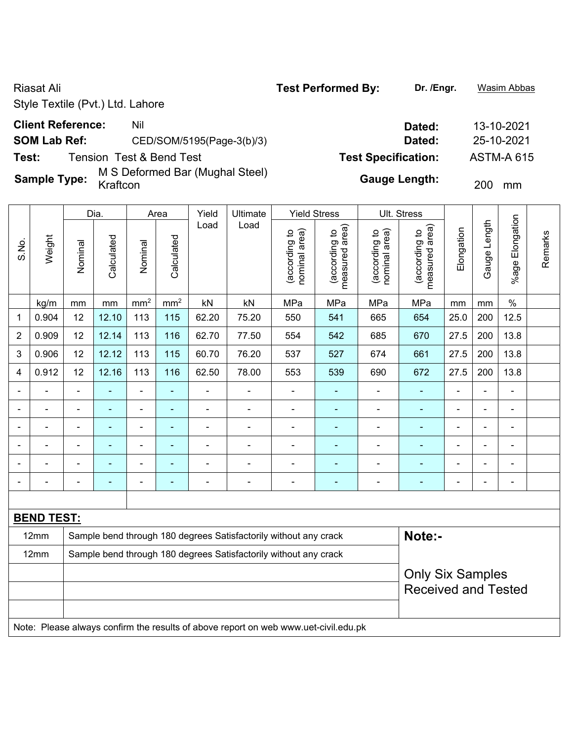**Test:** Tension Test & Bend Test **Test Specification:** ASTM-A 615

**Sample Type:** M S Deformed Bar (Mughal Steel)

|                |                   |                | Dia.           |                 | Area            | Yield          | <b>Ultimate</b>                                                                     | <b>Yield Stress</b>            |                                 |                                | Ult. Stress                     |                          |              |                       |         |
|----------------|-------------------|----------------|----------------|-----------------|-----------------|----------------|-------------------------------------------------------------------------------------|--------------------------------|---------------------------------|--------------------------------|---------------------------------|--------------------------|--------------|-----------------------|---------|
| S.No.          | Weight            | Nominal        | Calculated     | Nominal         | Calculated      | Load           | Load                                                                                | nominal area)<br>(according to | (according to<br>measured area) | nominal area)<br>(according to | (according to<br>measured area) | Elongation               | Gauge Length | Elongation<br>$%$ age | Remarks |
|                | kg/m              | mm             | mm             | mm <sup>2</sup> | mm <sup>2</sup> | kN             | kN                                                                                  | MPa                            | MPa                             | MPa                            | MPa                             | mm                       | mm           | $\frac{0}{0}$         |         |
| $\mathbf{1}$   | 0.904             | 12             | 12.10          | 113             | 115             | 62.20          | 75.20                                                                               | 550                            | 541                             | 665                            | 654                             | 25.0                     | 200          | 12.5                  |         |
| $\overline{2}$ | 0.909             | 12             | 12.14          | 113             | 116             | 62.70          | 77.50                                                                               | 554                            | 542                             | 685                            | 670                             | 27.5                     | 200          | 13.8                  |         |
| 3              | 0.906             | 12             | 12.12          | 113             | 115             | 60.70          | 76.20                                                                               | 537                            | 527                             | 674                            | 661                             | 27.5                     | 200          | 13.8                  |         |
| 4              | 0.912             | 12             | 12.16          | 113             | 116             | 62.50          | 78.00                                                                               | 553                            | 539                             | 690                            | 672                             | 27.5                     | 200          | 13.8                  |         |
|                |                   | $\blacksquare$ | $\blacksquare$ | ÷,              | $\blacksquare$  | ÷              | $\overline{a}$                                                                      |                                | $\blacksquare$                  | $\overline{\phantom{a}}$       | $\blacksquare$                  | ÷,                       |              | ÷                     |         |
|                |                   | $\blacksquare$ | $\blacksquare$ | $\blacksquare$  | $\blacksquare$  | $\blacksquare$ | $\blacksquare$                                                                      | ÷                              | $\blacksquare$                  | L,                             | $\blacksquare$                  | $\overline{a}$           |              | ÷                     |         |
|                |                   |                | $\blacksquare$ |                 | L,              | ä,             | $\blacksquare$                                                                      | ä,                             | $\blacksquare$                  | $\blacksquare$                 | ÷,                              | $\blacksquare$           |              | ä,                    |         |
|                |                   |                |                |                 |                 |                | $\overline{a}$                                                                      | ÷                              | ÷                               | ä,                             |                                 |                          |              | ÷                     |         |
|                |                   |                |                | $\blacksquare$  | ÷               | ÷              | $\overline{a}$                                                                      | ÷                              | $\blacksquare$                  |                                | $\blacksquare$                  | ÷                        |              | ÷                     |         |
|                |                   |                |                |                 | ۰               | $\blacksquare$ | $\blacksquare$                                                                      | ÷                              | $\blacksquare$                  | -                              | $\blacksquare$                  | $\overline{\phantom{a}}$ |              | ÷                     |         |
|                |                   |                |                |                 |                 |                |                                                                                     |                                |                                 |                                |                                 |                          |              |                       |         |
|                | <b>BEND TEST:</b> |                |                |                 |                 |                |                                                                                     |                                |                                 |                                |                                 |                          |              |                       |         |
|                | 12mm              |                |                |                 |                 |                | Sample bend through 180 degrees Satisfactorily without any crack                    |                                |                                 |                                | Note:-                          |                          |              |                       |         |
|                | 12mm              |                |                |                 |                 |                | Sample bend through 180 degrees Satisfactorily without any crack                    |                                |                                 |                                |                                 |                          |              |                       |         |
|                |                   |                |                |                 |                 |                |                                                                                     |                                |                                 |                                | <b>Only Six Samples</b>         |                          |              |                       |         |
|                |                   |                |                |                 |                 |                |                                                                                     |                                |                                 |                                | <b>Received and Tested</b>      |                          |              |                       |         |
|                |                   |                |                |                 |                 |                |                                                                                     |                                |                                 |                                |                                 |                          |              |                       |         |
|                |                   |                |                |                 |                 |                | Note: Please always confirm the results of above report on web www.uet-civil.edu.pk |                                |                                 |                                |                                 |                          |              |                       |         |

**Client Reference:** Nil Nil 2021 **SOM Lab Ref:** CED/SOM/5195(Page-3(b)/3) **Dated:** 25-10-2021

Gauge Length: 200 mm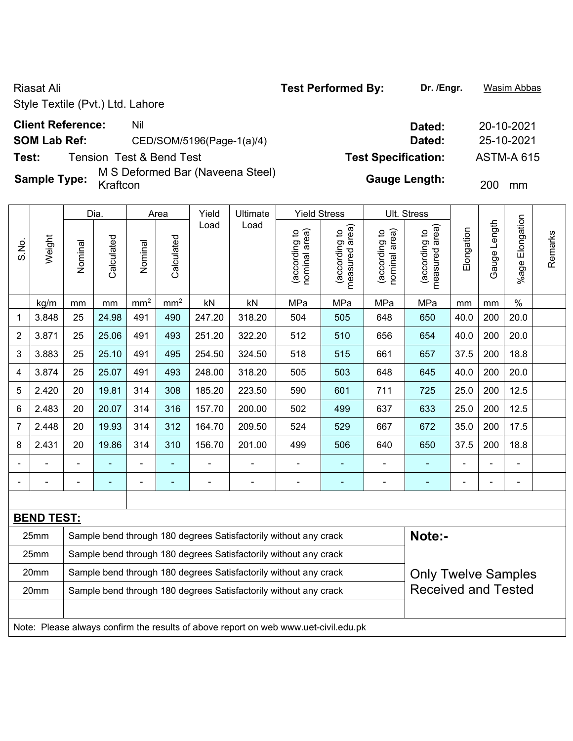### **Client Reference:** Nil Nil 20-10-2021

### **SOM Lab Ref:** CED/SOM/5196(Page-1(a)/4) **Dated:** 25-10-2021

**Test:** Tension Test & Bend Test **Test Specification:** ASTM-A 615

**Sample Type:** M S Deformed Bar (Naveena Steel)

|                |                   |         | Dia.       |                 | Area            | Yield          | Ultimate                                                                            | <b>Yield Stress</b>            |                                             |                               | Ult. Stress                     |            |              |                    |         |
|----------------|-------------------|---------|------------|-----------------|-----------------|----------------|-------------------------------------------------------------------------------------|--------------------------------|---------------------------------------------|-------------------------------|---------------------------------|------------|--------------|--------------------|---------|
| S.No.          | Weight            | Nominal | Calculated | Nominal         | Calculated      | Load           | Load                                                                                | nominal area)<br>(according to | (according to<br>neasured area)<br>measured | nominal area)<br>according to | (according to<br>measured area) | Elongation | Gauge Length | Elongation<br>%age | Remarks |
|                | kg/m              | mm      | mm         | mm <sup>2</sup> | mm <sup>2</sup> | kN             | kN                                                                                  | MPa                            | MPa                                         | MPa                           | MPa                             | mm         | mm           | $\%$               |         |
| $\mathbf{1}$   | 3.848             | 25      | 24.98      | 491             | 490             | 247.20         | 318.20                                                                              | 504                            | 505                                         | 648                           | 650                             | 40.0       | 200          | 20.0               |         |
| $\overline{2}$ | 3.871             | 25      | 25.06      | 491             | 493             | 251.20         | 322.20                                                                              | 512                            | 510                                         | 656                           | 654                             | 40.0       | 200          | 20.0               |         |
| $\mathbf{3}$   | 3.883             | 25      | 25.10      | 491             | 495             | 254.50         | 324.50                                                                              | 518                            | 515                                         | 661                           | 657                             | 37.5       | 200          | 18.8               |         |
| 4              | 3.874             | 25      | 25.07      | 491             | 493             | 248.00         | 318.20                                                                              | 505                            | 503                                         | 648                           | 645                             | 40.0       | 200          | 20.0               |         |
| 5              | 2.420             | 20      | 19.81      | 314             | 308             | 185.20         | 223.50                                                                              | 590                            | 601                                         | 711                           | 725                             | 25.0       | 200          | 12.5               |         |
| 6              | 2.483             | 20      | 20.07      | 314             | 316             | 157.70         | 200.00                                                                              | 502                            | 499                                         | 637                           | 633                             | 25.0       | 200          | 12.5               |         |
| $\overline{7}$ | 2.448             | 20      | 19.93      | 314             | 312             | 164.70         | 209.50                                                                              | 524                            | 529                                         | 667                           | 672                             | 35.0       | 200          | 17.5               |         |
| 8              | 2.431             | 20      | 19.86      | 314             | 310             | 156.70         | 201.00                                                                              | 499                            | 506                                         | 640                           | 650                             | 37.5       | 200          | 18.8               |         |
|                |                   |         |            |                 |                 |                |                                                                                     | ÷.                             |                                             |                               | $\blacksquare$                  |            |              | $\blacksquare$     |         |
|                |                   |         |            |                 |                 | $\blacksquare$ | $\overline{a}$                                                                      | $\blacksquare$                 | $\blacksquare$                              | $\overline{\phantom{a}}$      | $\blacksquare$                  | ÷          |              | $\blacksquare$     |         |
|                |                   |         |            |                 |                 |                |                                                                                     |                                |                                             |                               |                                 |            |              |                    |         |
|                | <b>BEND TEST:</b> |         |            |                 |                 |                |                                                                                     |                                |                                             |                               |                                 |            |              |                    |         |
|                | 25mm              |         |            |                 |                 |                | Sample bend through 180 degrees Satisfactorily without any crack                    |                                |                                             |                               | Note:-                          |            |              |                    |         |
|                | 25mm              |         |            |                 |                 |                | Sample bend through 180 degrees Satisfactorily without any crack                    |                                |                                             |                               |                                 |            |              |                    |         |
|                | 20mm              |         |            |                 |                 |                | Sample bend through 180 degrees Satisfactorily without any crack                    |                                |                                             |                               | <b>Only Twelve Samples</b>      |            |              |                    |         |
|                | 20mm              |         |            |                 |                 |                | Sample bend through 180 degrees Satisfactorily without any crack                    |                                |                                             |                               | <b>Received and Tested</b>      |            |              |                    |         |
|                |                   |         |            |                 |                 |                |                                                                                     |                                |                                             |                               |                                 |            |              |                    |         |
|                |                   |         |            |                 |                 |                | Note: Please always confirm the results of above report on web www.uet-civil.edu.pk |                                |                                             |                               |                                 |            |              |                    |         |

Gauge Length: 200 mm

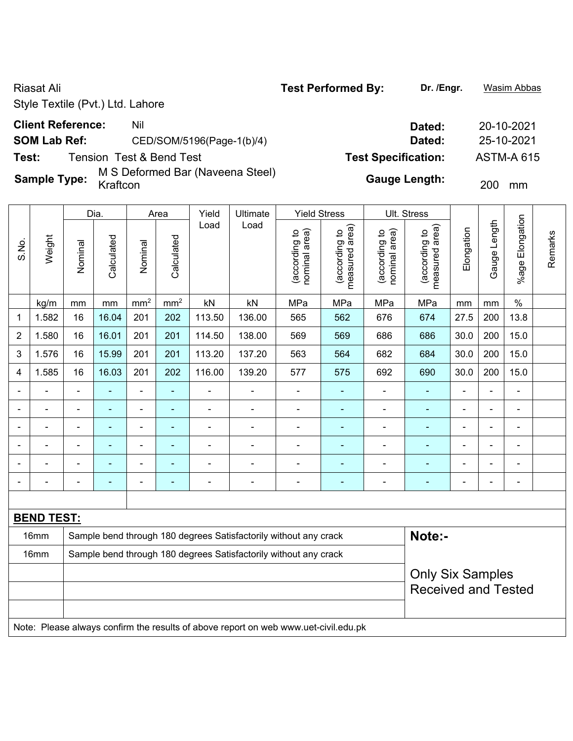| <b>Riasat Ali</b>                |                                              | <b>Test Performed By:</b>  | Dr. /Engr.           | Wasim Abbas       |
|----------------------------------|----------------------------------------------|----------------------------|----------------------|-------------------|
| Style Textile (Pvt.) Ltd. Lahore |                                              |                            |                      |                   |
| <b>Client Reference:</b>         | Nil                                          |                            | Dated:               | 20-10-2021        |
| <b>SOM Lab Ref:</b>              | CED/SOM/5196(Page-1(b)/4)                    |                            | Dated:               | 25-10-2021        |
| Test:                            | <b>Tension Test &amp; Bend Test</b>          | <b>Test Specification:</b> |                      | <b>ASTM-A 615</b> |
| <b>Sample Type:</b>              | M S Deformed Bar (Naveena Steel)<br>Kraftcon |                            | <b>Gauge Length:</b> | 200<br>mm         |

|                |                   |                | Dia.           |                 | Area            | Yield  | Ultimate                                                         | <b>Yield Stress</b>            |                                 |                                | Ult. Stress                     |                |                |                          |         |
|----------------|-------------------|----------------|----------------|-----------------|-----------------|--------|------------------------------------------------------------------|--------------------------------|---------------------------------|--------------------------------|---------------------------------|----------------|----------------|--------------------------|---------|
| S.No.          | Weight            | Nominal        | Calculated     | Nominal         | Calculated      | Load   | Load                                                             | nominal area)<br>(according to | (according to<br>measured area) | nominal area)<br>(according to | (according to<br>measured area) | Elongation     | Gauge Length   | Elongation<br>$%$ age    | Remarks |
|                | kg/m              | mm             | mm             | mm <sup>2</sup> | mm <sup>2</sup> | kN     | kN                                                               | MPa                            | MPa                             | MPa                            | MPa                             | mm             | mm             | $\%$                     |         |
| 1              | 1.582             | 16             | 16.04          | 201             | 202             | 113.50 | 136.00                                                           | 565                            | 562                             | 676                            | 674                             | 27.5           | 200            | 13.8                     |         |
| $\overline{2}$ | 1.580             | 16             | 16.01          | 201             | 201             | 114.50 | 138.00                                                           | 569                            | 569                             | 686                            | 686                             | 30.0           | 200            | 15.0                     |         |
| 3              | 1.576             | 16             | 15.99          | 201             | 201             | 113.20 | 137.20                                                           | 563                            | 564                             | 682                            | 684                             | 30.0           | 200            | 15.0                     |         |
| 4              | 1.585             | 16             | 16.03          | 201             | 202             | 116.00 | 139.20                                                           | 577                            | 575                             | 692                            | 690                             | 30.0           | 200            | 15.0                     |         |
|                |                   | $\blacksquare$ |                |                 | $\blacksquare$  |        |                                                                  | ÷.                             |                                 |                                |                                 | $\blacksquare$ |                | $\blacksquare$           |         |
|                |                   |                |                |                 | $\blacksquare$  | ۰      |                                                                  | $\blacksquare$                 |                                 | $\blacksquare$                 |                                 |                |                | ٠                        |         |
| $\blacksquare$ |                   | $\blacksquare$ | $\blacksquare$ | $\blacksquare$  | $\blacksquare$  | ä,     |                                                                  | ÷.                             | $\blacksquare$                  | $\blacksquare$                 | $\blacksquare$                  | $\blacksquare$ | $\blacksquare$ | $\blacksquare$           |         |
|                |                   | $\blacksquare$ | $\blacksquare$ | $\blacksquare$  | $\blacksquare$  | ۰      |                                                                  | ÷                              |                                 | $\blacksquare$                 | $\blacksquare$                  | $\blacksquare$ | ÷              | $\overline{\phantom{a}}$ |         |
|                |                   |                |                |                 |                 |        |                                                                  | ÷                              |                                 |                                |                                 |                |                | ٠                        |         |
| $\blacksquare$ |                   | $\blacksquare$ | $\blacksquare$ | $\blacksquare$  | $\blacksquare$  | ÷      | $\blacksquare$                                                   | ÷                              | $\blacksquare$                  | $\overline{a}$                 | $\blacksquare$                  | $\blacksquare$ |                | $\blacksquare$           |         |
|                |                   |                |                |                 |                 |        |                                                                  |                                |                                 |                                |                                 |                |                |                          |         |
|                | <b>BEND TEST:</b> |                |                |                 |                 |        |                                                                  |                                |                                 |                                |                                 |                |                |                          |         |
|                | 16mm              |                |                |                 |                 |        | Sample bend through 180 degrees Satisfactorily without any crack |                                |                                 |                                | Note:-                          |                |                |                          |         |
|                | 16mm              |                |                |                 |                 |        | Sample bend through 180 degrees Satisfactorily without any crack |                                |                                 |                                |                                 |                |                |                          |         |
|                |                   |                |                |                 |                 |        |                                                                  |                                |                                 |                                | <b>Only Six Samples</b>         |                |                |                          |         |
|                |                   |                |                |                 |                 |        |                                                                  |                                |                                 |                                | <b>Received and Tested</b>      |                |                |                          |         |
|                |                   |                |                |                 |                 |        |                                                                  |                                |                                 |                                |                                 |                |                |                          |         |

Note: Please always confirm the results of above report on web www.uet-civil.edu.pk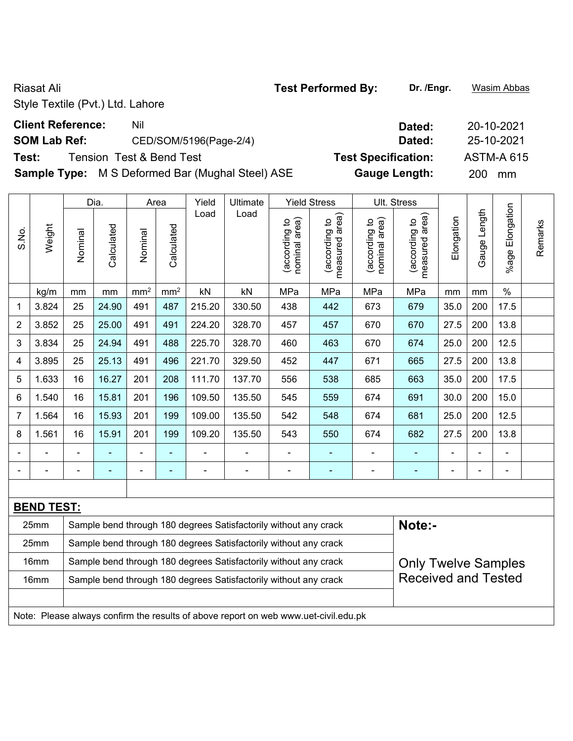# **Client Reference:** Nil Nil 20-10-2021

### **SOM Lab Ref:** CED/SOM/5196(Page-2/4) **Dated:** 25-10-2021

**Test:** Tension Test & Bend Test **Test Specification:** ASTM-A 615

**Sample Type:** M S Deformed Bar (Mughal Steel) ASE **Gauge Length:** 200 mm

|                |                   |         | Dia.           |                 | Area            | Yield          | Ultimate                                                                            |                                | <b>Yield Stress</b>             |                                | Ult. Stress                     |                |                |                       |         |
|----------------|-------------------|---------|----------------|-----------------|-----------------|----------------|-------------------------------------------------------------------------------------|--------------------------------|---------------------------------|--------------------------------|---------------------------------|----------------|----------------|-----------------------|---------|
| S.No.          | Weight            | Nominal | Calculated     | Nominal         | Calculated      | Load           | Load                                                                                | nominal area)<br>(according to | (according to<br>measured area) | nominal area)<br>(according to | measured area)<br>(according to | Elongation     | Gauge Length   | Elongation<br>$%$ age | Remarks |
|                | kg/m              | mm      | mm             | mm <sup>2</sup> | mm <sup>2</sup> | kN             | kN                                                                                  | MPa                            | MPa                             | MPa                            | MPa                             | mm             | mm             | $\%$                  |         |
| 1              | 3.824             | 25      | 24.90          | 491             | 487             | 215.20         | 330.50                                                                              | 438                            | 442                             | 673                            | 679                             | 35.0           | 200            | 17.5                  |         |
| $\overline{2}$ | 3.852             | 25      | 25.00          | 491             | 491             | 224.20         | 328.70                                                                              | 457                            | 457                             | 670                            | 670                             | 27.5           | 200            | 13.8                  |         |
| 3              | 3.834             | 25      | 24.94          | 491             | 488             | 225.70         | 328.70                                                                              | 460                            | 463                             | 670                            | 674                             | 25.0           | 200            | 12.5                  |         |
| 4              | 3.895             | 25      | 25.13          | 491             | 496             | 221.70         | 329.50                                                                              | 452                            | 447                             | 671                            | 665                             | 27.5           | 200            | 13.8                  |         |
| 5              | 1.633             | 16      | 16.27          | 201             | 208             | 111.70         | 137.70                                                                              | 556                            | 538                             | 685                            | 663                             | 35.0           | 200            | 17.5                  |         |
| 6              | 1.540             | 16      | 15.81          | 201             | 196             | 109.50         | 135.50                                                                              | 545                            | 559                             | 674                            | 691                             | 30.0           | 200            | 15.0                  |         |
| $\overline{7}$ | 1.564             | 16      | 15.93          | 201             | 199             | 109.00         | 135.50                                                                              | 542                            | 548                             | 674                            | 681                             | 25.0           | 200            | 12.5                  |         |
| 8              | 1.561             | 16      | 15.91          | 201             | 199             | 109.20         | 135.50                                                                              | 543                            | 550                             | 674                            | 682                             | 27.5           | 200            | 13.8                  |         |
|                |                   |         |                | $\blacksquare$  | $\blacksquare$  | $\blacksquare$ |                                                                                     | ÷                              |                                 | $\blacksquare$                 | ۰                               |                |                | $\blacksquare$        |         |
| $\blacksquare$ |                   |         | $\blacksquare$ | $\blacksquare$  | $\blacksquare$  | $\overline{a}$ | $\blacksquare$                                                                      | $\blacksquare$                 | $\blacksquare$                  | $\blacksquare$                 | ۰                               | $\overline{a}$ | $\blacksquare$ | $\blacksquare$        |         |
|                |                   |         |                |                 |                 |                |                                                                                     |                                |                                 |                                |                                 |                |                |                       |         |
|                | <b>BEND TEST:</b> |         |                |                 |                 |                |                                                                                     |                                |                                 |                                |                                 |                |                |                       |         |
|                | 25mm              |         |                |                 |                 |                | Sample bend through 180 degrees Satisfactorily without any crack                    |                                |                                 |                                | Note:-                          |                |                |                       |         |
|                | 25mm              |         |                |                 |                 |                | Sample bend through 180 degrees Satisfactorily without any crack                    |                                |                                 |                                |                                 |                |                |                       |         |
|                | 16mm              |         |                |                 |                 |                | Sample bend through 180 degrees Satisfactorily without any crack                    |                                |                                 |                                | <b>Only Twelve Samples</b>      |                |                |                       |         |
|                | 16mm              |         |                |                 |                 |                | Sample bend through 180 degrees Satisfactorily without any crack                    |                                |                                 |                                | <b>Received and Tested</b>      |                |                |                       |         |
|                |                   |         |                |                 |                 |                |                                                                                     |                                |                                 |                                |                                 |                |                |                       |         |
|                |                   |         |                |                 |                 |                | Note: Please always confirm the results of above report on web www.uet-civil.edu.pk |                                |                                 |                                |                                 |                |                |                       |         |

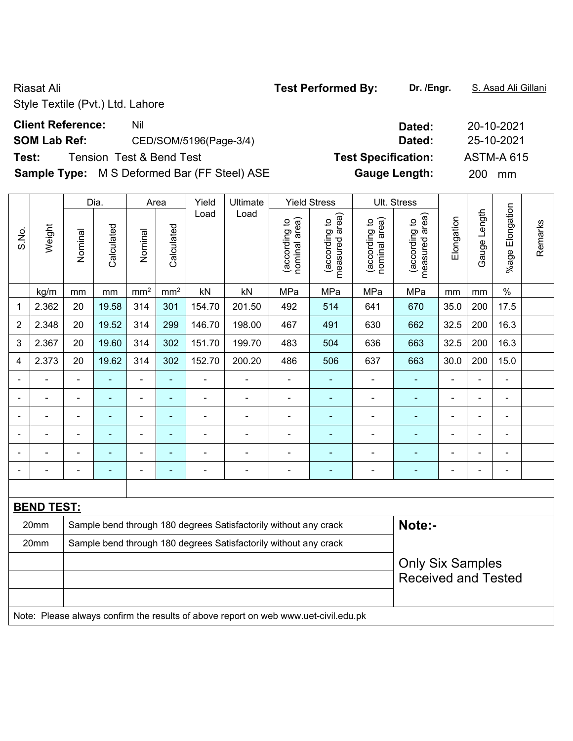# **Client Reference:** Nil Nil 20-10-2021

# **SOM Lab Ref:** CED/SOM/5196(Page-3/4) **Dated:** 25-10-2021

# **Test:** Tension Test & Bend Test **Test Specification:** ASTM-A 615

**Sample Type:** M S Deformed Bar (FF Steel) ASE **Gauge Length:** 200 mm

|                |                   |                | Dia.                     |                 | Area            | Yield          | <b>Ultimate</b>                                                                     |                                | <b>Yield Stress</b>             |                                | Ult. Stress                     |                |                          |                      |         |
|----------------|-------------------|----------------|--------------------------|-----------------|-----------------|----------------|-------------------------------------------------------------------------------------|--------------------------------|---------------------------------|--------------------------------|---------------------------------|----------------|--------------------------|----------------------|---------|
| S.No.          | Weight            | Nominal        | Calculated               | Nominal         | Calculated      | Load           | Load                                                                                | nominal area)<br>(according to | measured area)<br>(according to | nominal area)<br>(according to | (according to<br>measured area) | Elongation     | Gauge Length             | Elongation<br>%age I | Remarks |
|                | kg/m              | mm             | mm                       | mm <sup>2</sup> | mm <sup>2</sup> | kN             | kN                                                                                  | MPa                            | MPa                             | MPa                            | MPa                             | mm             | mm                       | $\%$                 |         |
| 1              | 2.362             | 20             | 19.58                    | 314             | 301             | 154.70         | 201.50                                                                              | 492                            | 514                             | 641                            | 670                             | 35.0           | 200                      | 17.5                 |         |
| $\overline{2}$ | 2.348             | 20             | 19.52                    | 314             | 299             | 146.70         | 198.00                                                                              | 467                            | 491                             | 630                            | 662                             | 32.5           | 200                      | 16.3                 |         |
| 3              | 2.367             | 20             | 19.60                    | 314             | 302             | 151.70         | 199.70                                                                              | 483                            | 504                             | 636                            | 663                             | 32.5           | 200                      | 16.3                 |         |
| 4              | 2.373             | 20             | 19.62                    | 314             | 302             | 152.70         | 200.20                                                                              | 486                            | 506                             | 637                            | 663                             | 30.0           | 200                      | 15.0                 |         |
|                |                   | $\blacksquare$ | ä,                       | $\blacksquare$  | ٠               | ÷.             | $\blacksquare$                                                                      | $\blacksquare$                 | $\blacksquare$                  | $\blacksquare$                 | $\blacksquare$                  | $\blacksquare$ | ä,                       | ä,                   |         |
|                | $\blacksquare$    | $\blacksquare$ | ä,                       | $\frac{1}{2}$   | ÷               | ÷,             | $\blacksquare$                                                                      | $\blacksquare$                 | $\blacksquare$                  | ÷,                             | ä,                              | $\blacksquare$ | ä,                       | ä,                   |         |
|                |                   | $\blacksquare$ | ۳                        | $\blacksquare$  | ۰               | ÷              | $\blacksquare$                                                                      | L,                             | $\blacksquare$                  | $\blacksquare$                 | $\blacksquare$                  |                | L,                       | $\blacksquare$       |         |
|                |                   |                |                          | -               | ۰               |                |                                                                                     | $\blacksquare$                 |                                 |                                |                                 |                | $\blacksquare$           | $\blacksquare$       |         |
|                |                   |                |                          | ä,              |                 |                |                                                                                     |                                |                                 |                                |                                 |                |                          |                      |         |
|                |                   | $\blacksquare$ | $\overline{\phantom{0}}$ | -               | ۰               | $\blacksquare$ | $\blacksquare$                                                                      | ÷                              | $\overline{\phantom{0}}$        | ٠                              | $\overline{\phantom{0}}$        | $\blacksquare$ | $\overline{\phantom{0}}$ | ۰                    |         |
|                |                   |                |                          |                 |                 |                |                                                                                     |                                |                                 |                                |                                 |                |                          |                      |         |
|                | <b>BEND TEST:</b> |                |                          |                 |                 |                |                                                                                     |                                |                                 |                                |                                 |                |                          |                      |         |
|                | 20mm              |                |                          |                 |                 |                | Sample bend through 180 degrees Satisfactorily without any crack                    |                                |                                 |                                | Note:-                          |                |                          |                      |         |
|                | 20mm              |                |                          |                 |                 |                | Sample bend through 180 degrees Satisfactorily without any crack                    |                                |                                 |                                |                                 |                |                          |                      |         |
|                |                   |                |                          |                 |                 |                |                                                                                     |                                |                                 |                                | <b>Only Six Samples</b>         |                |                          |                      |         |
|                |                   |                |                          |                 |                 |                |                                                                                     |                                |                                 |                                | <b>Received and Tested</b>      |                |                          |                      |         |
|                |                   |                |                          |                 |                 |                |                                                                                     |                                |                                 |                                |                                 |                |                          |                      |         |
|                |                   |                |                          |                 |                 |                | Note: Please always confirm the results of above report on web www.uet-civil.edu.pk |                                |                                 |                                |                                 |                |                          |                      |         |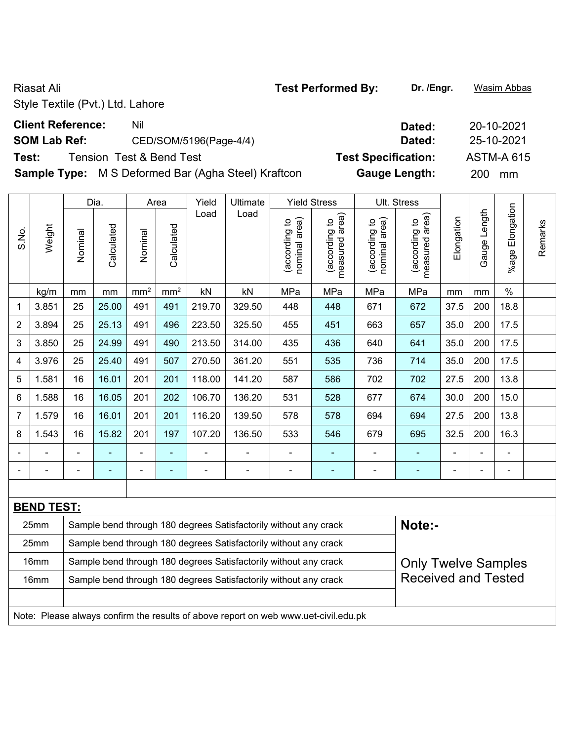**Sample Type:** M S Deformed Bar (Agha Steel) Kraftcon **Gauge Length:** 200 mm

|                |                   |         | Dia.                                                                                       |                 | Area            | Yield          | Ultimate                                                                            |                                | <b>Yield Stress</b>             |                                | Ult. Stress                     |                |              |                 |         |  |
|----------------|-------------------|---------|--------------------------------------------------------------------------------------------|-----------------|-----------------|----------------|-------------------------------------------------------------------------------------|--------------------------------|---------------------------------|--------------------------------|---------------------------------|----------------|--------------|-----------------|---------|--|
| S.No.          | Weight            | Nominal | Calculated                                                                                 | Nominal         | Calculated      | Load           | Load                                                                                | nominal area)<br>(according to | measured area)<br>(according to | nominal area)<br>(according to | measured area)<br>(according to | Elongation     | Gauge Length | %age Elongation | Remarks |  |
|                | kg/m              | mm      | mm                                                                                         | mm <sup>2</sup> | mm <sup>2</sup> | kN             | kN                                                                                  | MPa                            | MPa                             | MPa                            | MPa                             | mm             | mm           | $\%$            |         |  |
| 1              | 3.851             | 25      | 25.00                                                                                      | 491             | 491             | 219.70         | 329.50                                                                              | 448                            | 448                             | 671                            | 672                             | 37.5           | 200          | 18.8            |         |  |
| $\overline{2}$ | 3.894             | 25      | 25.13                                                                                      | 491             | 496             | 223.50         | 325.50                                                                              | 455                            | 451                             | 663                            | 657                             | 35.0           | 200          | 17.5            |         |  |
| 3              | 3.850             | 25      | 24.99                                                                                      | 491             | 490             | 213.50         | 314.00                                                                              | 435                            | 436                             | 640                            | 641                             | 35.0           | 200          | 17.5            |         |  |
| 4              | 3.976             | 25      | 25.40                                                                                      | 491             | 507             | 270.50         | 361.20                                                                              | 551                            | 535                             | 736                            | 714                             | 35.0           | 200          | 17.5            |         |  |
| 5              | 1.581             | 16      | 16.01                                                                                      | 201             | 201             | 118.00         | 141.20                                                                              | 587                            | 586                             | 702                            | 702                             | 27.5           | 200          | 13.8            |         |  |
| 6              | 1.588             | 16      | 16.05<br>201<br>106.70<br>136.20<br>15.0<br>202<br>531<br>528<br>30.0<br>200<br>677<br>674 |                 |                 |                |                                                                                     |                                |                                 |                                |                                 |                |              |                 |         |  |
| $\overline{7}$ | 1.579             | 16      | 16.01                                                                                      | 201             | 201             | 116.20         | 139.50                                                                              | 578                            | 578                             | 694                            | 694                             | 27.5           | 200          | 13.8            |         |  |
| 8              | 1.543             | 16      | 15.82                                                                                      | 201             | 197             | 107.20         | 136.50                                                                              | 533                            | 546                             | 679                            | 695                             | 32.5           | 200          | 16.3            |         |  |
|                |                   |         |                                                                                            | $\blacksquare$  | $\blacksquare$  |                |                                                                                     | $\blacksquare$                 | $\blacksquare$                  | $\overline{a}$                 | $\blacksquare$                  | $\blacksquare$ |              |                 |         |  |
|                |                   |         | ä,                                                                                         | ÷               | ÷               | $\blacksquare$ | ÷                                                                                   | $\blacksquare$                 | $\blacksquare$                  | $\overline{a}$                 |                                 | $\blacksquare$ | ÷            | ÷,              |         |  |
|                |                   |         |                                                                                            |                 |                 |                |                                                                                     |                                |                                 |                                |                                 |                |              |                 |         |  |
|                | <b>BEND TEST:</b> |         |                                                                                            |                 |                 |                |                                                                                     |                                |                                 |                                |                                 |                |              |                 |         |  |
|                | 25mm              |         |                                                                                            |                 |                 |                | Sample bend through 180 degrees Satisfactorily without any crack                    |                                |                                 |                                | Note:-                          |                |              |                 |         |  |
|                | 25mm              |         |                                                                                            |                 |                 |                | Sample bend through 180 degrees Satisfactorily without any crack                    |                                |                                 |                                |                                 |                |              |                 |         |  |
|                | 16mm              |         |                                                                                            |                 |                 |                | Sample bend through 180 degrees Satisfactorily without any crack                    |                                |                                 |                                | <b>Only Twelve Samples</b>      |                |              |                 |         |  |
|                | 16mm              |         |                                                                                            |                 |                 |                | Sample bend through 180 degrees Satisfactorily without any crack                    |                                |                                 |                                | <b>Received and Tested</b>      |                |              |                 |         |  |
|                |                   |         |                                                                                            |                 |                 |                |                                                                                     |                                |                                 |                                |                                 |                |              |                 |         |  |
|                |                   |         |                                                                                            |                 |                 |                | Note: Please always confirm the results of above report on web www.uet-civil.edu.pk |                                |                                 |                                |                                 |                |              |                 |         |  |

# **Client Reference:** Nil Nil 20-10-2021 **SOM Lab Ref:** CED/SOM/5196(Page-4/4) **Dated:** 25-10-2021 **Test:** Tension Test & Bend Test **Test Specification:** ASTM-A 615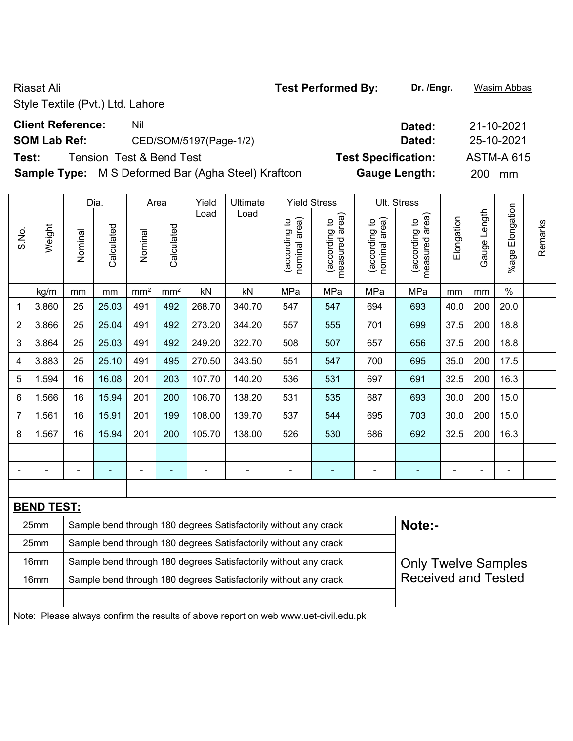**Sample Type:** M S Deformed Bar (Agha Steel) Kraftcon **Gauge Length:** 200 mm

|                |                   |         | Dia.       |                 | Area            | Yield          | Ultimate                                                                            |                                | <b>Yield Stress</b>             |                                | Ult. Stress                     |                |              |                 |         |
|----------------|-------------------|---------|------------|-----------------|-----------------|----------------|-------------------------------------------------------------------------------------|--------------------------------|---------------------------------|--------------------------------|---------------------------------|----------------|--------------|-----------------|---------|
| S.No.          | Weight            | Nominal | Calculated | Nominal         | Calculated      | Load           | Load                                                                                | nominal area)<br>(according to | measured area)<br>(according to | nominal area)<br>(according to | measured area)<br>(according to | Elongation     | Gauge Length | %age Elongation | Remarks |
|                | kg/m              | mm      | mm         | mm <sup>2</sup> | mm <sup>2</sup> | kN             | kN                                                                                  | MPa                            | MPa                             | MPa                            | MPa                             | mm             | mm           | $\%$            |         |
| 1              | 3.860             | 25      | 25.03      | 491             | 492             | 268.70         | 340.70                                                                              | 547                            | 547                             | 694                            | 693                             | 40.0           | 200          | 20.0            |         |
| 2              | 3.866             | 25      | 25.04      | 491             | 492             | 273.20         | 344.20                                                                              | 557                            | 555                             | 701                            | 699                             | 37.5           | 200          | 18.8            |         |
| 3              | 3.864             | 25      | 25.03      | 491             | 492             | 249.20         | 322.70                                                                              | 508                            | 507                             | 657                            | 656                             | 37.5           | 200          | 18.8            |         |
| 4              | 3.883             | 25      | 25.10      | 491             | 495             | 270.50         | 343.50                                                                              | 551                            | 547                             | 700                            | 695                             | 35.0           | 200          | 17.5            |         |
| 5              | 1.594             | 16      | 16.08      | 201             | 203             | 107.70         | 140.20                                                                              | 536                            | 531                             | 697                            | 691                             | 32.5           | 200          | 16.3            |         |
| 6              | 1.566             | 16      | 15.94      | 201             | 200             | 106.70         | 138.20                                                                              | 531                            | 535                             | 687                            | 693                             | 30.0           | 200          | 15.0            |         |
| $\overline{7}$ | 1.561             | 16      | 15.91      | 201             | 199             | 108.00         | 139.70                                                                              | 537                            | 544                             | 695                            | 703                             | 30.0           | 200          | 15.0            |         |
| 8              | 1.567             | 16      | 15.94      | 201             | 200             | 105.70         | 138.00                                                                              | 526                            | 530                             | 686                            | 692                             | 32.5           | 200          | 16.3            |         |
|                |                   |         |            | $\blacksquare$  |                 |                |                                                                                     | ۰                              | $\blacksquare$                  | $\qquad \qquad \blacksquare$   | $\blacksquare$                  |                |              |                 |         |
|                |                   |         | ä,         | ÷               | ÷               | $\blacksquare$ | ÷                                                                                   | $\blacksquare$                 | $\blacksquare$                  | $\overline{a}$                 | $\blacksquare$                  | $\blacksquare$ | ä,           | ÷,              |         |
|                |                   |         |            |                 |                 |                |                                                                                     |                                |                                 |                                |                                 |                |              |                 |         |
|                | <b>BEND TEST:</b> |         |            |                 |                 |                |                                                                                     |                                |                                 |                                |                                 |                |              |                 |         |
|                | 25mm              |         |            |                 |                 |                | Sample bend through 180 degrees Satisfactorily without any crack                    |                                |                                 |                                | Note:-                          |                |              |                 |         |
|                | 25mm              |         |            |                 |                 |                | Sample bend through 180 degrees Satisfactorily without any crack                    |                                |                                 |                                |                                 |                |              |                 |         |
|                | 16mm              |         |            |                 |                 |                | Sample bend through 180 degrees Satisfactorily without any crack                    |                                |                                 |                                | <b>Only Twelve Samples</b>      |                |              |                 |         |
|                | 16mm              |         |            |                 |                 |                | Sample bend through 180 degrees Satisfactorily without any crack                    |                                |                                 |                                | <b>Received and Tested</b>      |                |              |                 |         |
|                |                   |         |            |                 |                 |                |                                                                                     |                                |                                 |                                |                                 |                |              |                 |         |
|                |                   |         |            |                 |                 |                | Note: Please always confirm the results of above report on web www.uet-civil.edu.pk |                                |                                 |                                |                                 |                |              |                 |         |

# **Client Reference:** Nil Nil 21-10-2021 **SOM Lab Ref:** CED/SOM/5197(Page-1/2) **Dated:** 25-10-2021 **Test:** Tension Test & Bend Test **Test Specification:** ASTM-A 615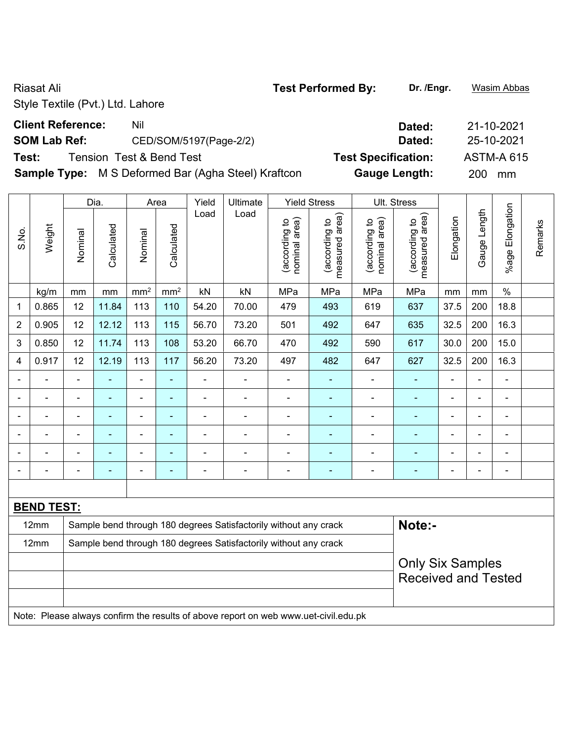# **SOM Lab Ref:** CED/SOM/5197(Page-2/2) **Dated:** 25-10-2021

**Test:** Tension Test & Bend Test **Test Specification:** ASTM-A 615

**Sample Type:** M S Deformed Bar (Agha Steel) Kraftcon **Gauge Length:** 200 mm

|                |                   |                | Dia.                                                                                                                                                                           |                 | Area            | Yield          | Ultimate                                                                            |                                | <b>Yield Stress</b>             |                                | Ult. Stress                     |                |              |                           |         |  |  |
|----------------|-------------------|----------------|--------------------------------------------------------------------------------------------------------------------------------------------------------------------------------|-----------------|-----------------|----------------|-------------------------------------------------------------------------------------|--------------------------------|---------------------------------|--------------------------------|---------------------------------|----------------|--------------|---------------------------|---------|--|--|
| S.No.          | Weight            | Nominal        | Calculated                                                                                                                                                                     | Nominal         | Calculated      | Load           | Load                                                                                | nominal area)<br>(according to | (according to<br>measured area) | nominal area)<br>(according to | (according to<br>measured area) | Elongation     | Gauge Length | Elongation<br>$%$ age $ $ | Remarks |  |  |
|                | kg/m              | mm             | mm                                                                                                                                                                             | mm <sup>2</sup> | mm <sup>2</sup> | kN             | kN                                                                                  | MPa                            | MPa                             | MPa                            | MPa                             | mm             | mm           | $\%$                      |         |  |  |
| 1              | 0.865             | 12             | 11.84                                                                                                                                                                          | 113             | 110             | 54.20          | 70.00                                                                               | 479                            | 493                             | 619                            | 637                             | 37.5           | 200          | 18.8                      |         |  |  |
| $\overline{2}$ | 0.905             | 12             | 12.12                                                                                                                                                                          | 113             | 115             | 56.70          | 73.20                                                                               | 501                            | 492                             | 647                            | 635                             | 32.5           | 200          | 16.3                      |         |  |  |
| 3              | 0.850             | 12             | 11.74                                                                                                                                                                          | 113             | 108             | 53.20          | 66.70                                                                               | 470                            | 492                             | 590                            | 617                             | 30.0           | 200          | 15.0                      |         |  |  |
| 4              | 0.917             | 12             | 12.19                                                                                                                                                                          | 113             | 117             | 56.20          | 73.20                                                                               | 497                            | 482                             | 647                            | 627                             | 32.5           | 200          | 16.3                      |         |  |  |
|                |                   | $\blacksquare$ | $\blacksquare$                                                                                                                                                                 | ۰               | $\blacksquare$  | $\blacksquare$ | $\blacksquare$                                                                      | $\overline{\phantom{a}}$       | $\blacksquare$                  | $\blacksquare$                 | $\blacksquare$                  | $\overline{a}$ | L,           | $\overline{\phantom{a}}$  |         |  |  |
|                |                   | ä,             | ä,<br>ä,<br>ä,<br>÷,<br>÷,<br>$\blacksquare$<br>÷,<br>$\overline{\phantom{a}}$<br>$\blacksquare$<br>÷<br>$\blacksquare$<br>$\blacksquare$                                      |                 |                 |                |                                                                                     |                                |                                 |                                |                                 |                |              |                           |         |  |  |
|                |                   |                | $\blacksquare$<br>$\blacksquare$<br>$\blacksquare$<br>$\blacksquare$<br>÷<br>ä,<br>$\blacksquare$<br>$\blacksquare$<br>$\blacksquare$<br>$\blacksquare$<br>÷<br>$\blacksquare$ |                 |                 |                |                                                                                     |                                |                                 |                                |                                 |                |              |                           |         |  |  |
|                |                   |                |                                                                                                                                                                                | $\blacksquare$  | $\blacksquare$  | $\blacksquare$ |                                                                                     |                                | $\blacksquare$                  |                                |                                 |                |              | $\overline{\phantom{0}}$  |         |  |  |
|                |                   |                |                                                                                                                                                                                |                 |                 |                |                                                                                     |                                |                                 |                                | ä,                              |                |              |                           |         |  |  |
|                |                   | $\blacksquare$ | ۰                                                                                                                                                                              | $\blacksquare$  | $\blacksquare$  | $\overline{a}$ | $\blacksquare$                                                                      |                                | ٠                               |                                | ۰                               | $\blacksquare$ | ÷            | $\blacksquare$            |         |  |  |
|                |                   |                |                                                                                                                                                                                |                 |                 |                |                                                                                     |                                |                                 |                                |                                 |                |              |                           |         |  |  |
|                | <b>BEND TEST:</b> |                |                                                                                                                                                                                |                 |                 |                |                                                                                     |                                |                                 |                                |                                 |                |              |                           |         |  |  |
|                | 12mm              |                |                                                                                                                                                                                |                 |                 |                | Sample bend through 180 degrees Satisfactorily without any crack                    |                                |                                 |                                | Note:-                          |                |              |                           |         |  |  |
|                | 12mm              |                |                                                                                                                                                                                |                 |                 |                | Sample bend through 180 degrees Satisfactorily without any crack                    |                                |                                 |                                |                                 |                |              |                           |         |  |  |
|                |                   |                |                                                                                                                                                                                |                 |                 |                |                                                                                     |                                |                                 |                                | <b>Only Six Samples</b>         |                |              |                           |         |  |  |
|                |                   |                |                                                                                                                                                                                |                 |                 |                |                                                                                     |                                |                                 |                                | <b>Received and Tested</b>      |                |              |                           |         |  |  |
|                |                   |                |                                                                                                                                                                                |                 |                 |                |                                                                                     |                                |                                 |                                |                                 |                |              |                           |         |  |  |
|                |                   |                |                                                                                                                                                                                |                 |                 |                | Note: Please always confirm the results of above report on web www.uet-civil.edu.pk |                                |                                 |                                |                                 |                |              |                           |         |  |  |

**Client Reference:** Nil Nil 21-10-2021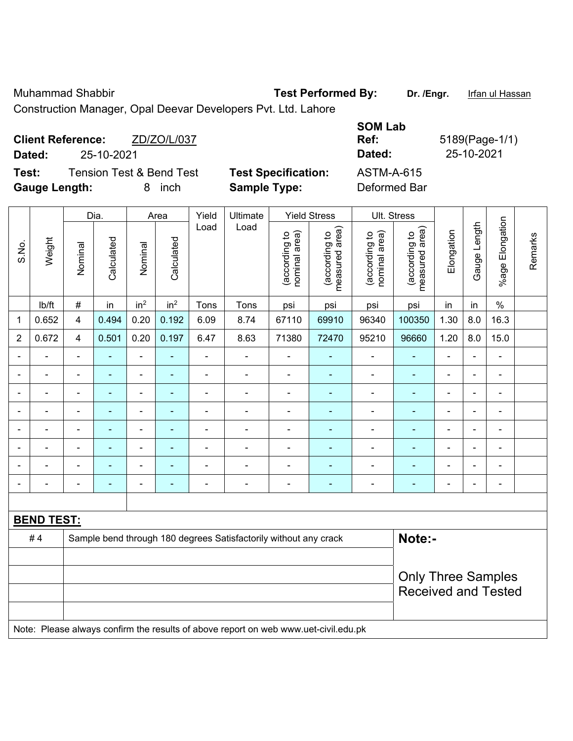Muhammad Shabbir **Test Performed By: Dr. /Engr.** Irfan ul Hassan

Construction Manager, Opal Deevar Developers Pvt. Ltd. Lahore

| ZD/ZO/L/037<br><b>Client Reference:</b><br>25-10-2021<br>Dated:              |                                                   | <b>SOM Lab</b><br>Ref:<br>Dated: | 5189(Page-1/1)<br>25-10-2021 |
|------------------------------------------------------------------------------|---------------------------------------------------|----------------------------------|------------------------------|
| <b>Tension Test &amp; Bend Test</b><br>Test:<br><b>Gauge Length:</b><br>inch | <b>Test Specification:</b><br><b>Sample Type:</b> | ASTM-A-615<br>Deformed Bar       |                              |

|                |                   |                          | Dia.                     |                          | Area            | Yield                    | Ultimate                                                                            |                                | <b>Yield Stress</b>             |                                | Ult. Stress                                             |                |                |                              |         |
|----------------|-------------------|--------------------------|--------------------------|--------------------------|-----------------|--------------------------|-------------------------------------------------------------------------------------|--------------------------------|---------------------------------|--------------------------------|---------------------------------------------------------|----------------|----------------|------------------------------|---------|
| S.No.          | Weight            | Nominal                  | Calculated               | Nominal                  | Calculated      | Load                     | Load                                                                                | nominal area)<br>(according to | measured area)<br>(according to | (according to<br>nominal area) | measured area)<br>(according to                         | Elongation     | Gauge Length   | %age Elongation              | Remarks |
|                | lb/ft             | #                        | in                       | in <sup>2</sup>          | in <sup>2</sup> | Tons                     | Tons                                                                                | psi                            | psi                             | psi                            | psi                                                     | in             | in             | $\frac{0}{0}$                |         |
| 1              | 0.652             | 4                        | 0.494                    | 0.20                     | 0.192           | 6.09                     | 8.74                                                                                | 67110                          | 69910                           | 96340                          | 100350                                                  | 1.30           | 8.0            | 16.3                         |         |
| $\overline{2}$ | 0.672             | 4                        | 0.501                    | 0.20                     | 0.197           | 6.47                     | 8.63                                                                                | 71380                          | 72470                           | 95210                          | 96660                                                   | 1.20           | 8.0            | 15.0                         |         |
| $\blacksquare$ | ÷                 | $\overline{\phantom{a}}$ | $\blacksquare$           | $\blacksquare$           | $\blacksquare$  | $\blacksquare$           | $\frac{1}{2}$                                                                       | $\overline{\phantom{a}}$       | $\blacksquare$                  | $\blacksquare$                 | $\blacksquare$                                          | $\blacksquare$ | $\blacksquare$ | $\overline{\phantom{a}}$     |         |
|                | ä,                | $\blacksquare$           | ÷,                       | $\blacksquare$           | ä,              | $\blacksquare$           | $\blacksquare$                                                                      | $\blacksquare$                 | ÷,                              | ä,                             | $\blacksquare$                                          | $\blacksquare$ | $\blacksquare$ | $\blacksquare$               |         |
|                | $\blacksquare$    | $\blacksquare$           | ä,                       | $\blacksquare$           | $\blacksquare$  | $\blacksquare$           | $\blacksquare$                                                                      | $\blacksquare$                 | $\blacksquare$                  | $\blacksquare$                 | $\blacksquare$                                          | ۰              | $\blacksquare$ | $\blacksquare$               |         |
|                |                   | $\blacksquare$           | ٠                        | ٠                        |                 | $\blacksquare$           | $\blacksquare$                                                                      | Ē,                             | ٠                               | ä,                             | $\overline{\phantom{0}}$                                | $\blacksquare$ |                | $\blacksquare$               |         |
|                | $\blacksquare$    | $\blacksquare$           | $\blacksquare$           | ä,                       | ä,              | ä,                       | $\blacksquare$                                                                      | $\blacksquare$                 | $\blacksquare$                  | $\blacksquare$                 | $\blacksquare$                                          | $\blacksquare$ |                | $\blacksquare$               |         |
|                | $\blacksquare$    | $\blacksquare$           | $\blacksquare$           | $\blacksquare$           | $\blacksquare$  | L,                       | $\blacksquare$                                                                      | $\overline{\phantom{a}}$       | ٠                               | ÷,                             | $\blacksquare$                                          | $\blacksquare$ | $\blacksquare$ | $\blacksquare$               |         |
|                |                   | $\overline{\phantom{0}}$ |                          | ÷                        | ۳               |                          | $\blacksquare$                                                                      | $\overline{\phantom{0}}$       |                                 | ÷                              |                                                         | ÷              |                | $\overline{\phantom{a}}$     |         |
| $\blacksquare$ | $\blacksquare$    | $\blacksquare$           | $\overline{\phantom{0}}$ | $\overline{\phantom{a}}$ | $\blacksquare$  | $\overline{\phantom{a}}$ | $\qquad \qquad \blacksquare$                                                        | $\overline{\phantom{a}}$       | $\blacksquare$                  | $\overline{\phantom{a}}$       | $\blacksquare$                                          | ۰              | $\blacksquare$ | $\qquad \qquad \blacksquare$ |         |
|                |                   |                          |                          |                          |                 |                          |                                                                                     |                                |                                 |                                |                                                         |                |                |                              |         |
|                | <b>BEND TEST:</b> |                          |                          |                          |                 |                          |                                                                                     |                                |                                 |                                |                                                         |                |                |                              |         |
|                | #4                |                          |                          |                          |                 |                          | Sample bend through 180 degrees Satisfactorily without any crack                    |                                |                                 |                                | Note:-                                                  |                |                |                              |         |
|                |                   |                          |                          |                          |                 |                          |                                                                                     |                                |                                 |                                |                                                         |                |                |                              |         |
|                |                   |                          |                          |                          |                 |                          |                                                                                     |                                |                                 |                                | <b>Only Three Samples</b><br><b>Received and Tested</b> |                |                |                              |         |
|                |                   |                          |                          |                          |                 |                          | Note: Please always confirm the results of above report on web www.uet-civil.edu.pk |                                |                                 |                                |                                                         |                |                |                              |         |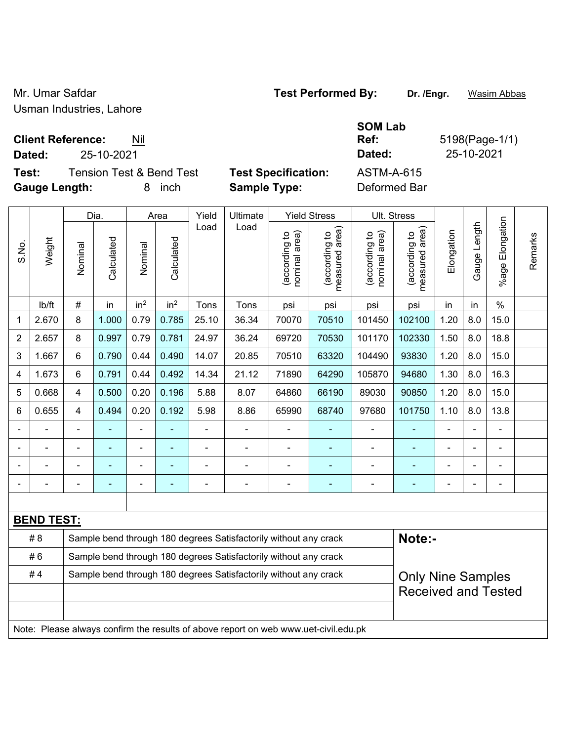Mr. Umar Safdar **Test Performed By:** Dr. /Engr. **Wasim Abbas** Usman Industries, Lahore

**Client Reference:** Nil

**Test:** Tension Test & Bend Test **Test Specification:** ASTM-A-615 **Gauge Length:** 8 inch **Sample Type:** Deformed Bar

**Ref:** 5198(Page-1/1) **Dated:** 25-10-2021 **Dated:** 25-10-2021

|              |                   |                         | Dia.                                                                                               |                 | Area            | Yield | <b>Ultimate</b>                                                                     |                                | <b>Yield Stress</b>                         | Ult. Stress                    |                                 |                |              |                       |         |  |
|--------------|-------------------|-------------------------|----------------------------------------------------------------------------------------------------|-----------------|-----------------|-------|-------------------------------------------------------------------------------------|--------------------------------|---------------------------------------------|--------------------------------|---------------------------------|----------------|--------------|-----------------------|---------|--|
| S.No.        | Weight            | Nominal                 | Calculated                                                                                         | Nominal         | Calculated      | Load  | Load                                                                                | nominal area)<br>(according to | (according to<br>neasured area)<br>measured | (according to<br>nominal area) | (according to<br>measured area) | Elongation     | Gauge Length | Elongation<br>$%$ age | Remarks |  |
|              | lb/ft             | $\#$                    | in                                                                                                 | in <sup>2</sup> | in <sup>2</sup> | Tons  | Tons                                                                                | psi                            | psi                                         | psi                            | psi                             | in             | in           | $\%$                  |         |  |
| $\mathbf{1}$ | 2.670             | 8                       | 1.000                                                                                              | 0.79            | 0.785           | 25.10 | 36.34                                                                               | 70070                          | 70510                                       | 101450                         | 102100                          | 1.20           | 8.0          | 15.0                  |         |  |
| 2            | 2.657             | 8                       | 0.997                                                                                              | 0.79            | 0.781           | 24.97 | 36.24                                                                               | 69720                          | 70530                                       | 101170                         | 102330                          | 1.50           | 8.0          | 18.8                  |         |  |
| 3            | 1.667             | $6\phantom{1}$          | 0.790                                                                                              | 0.44            | 0.490           | 14.07 | 20.85                                                                               | 70510                          | 63320                                       | 104490                         | 93830                           | 1.20           | 8.0          | 15.0                  |         |  |
| 4            | 1.673             | $6\phantom{1}$          | 0.791                                                                                              | 0.44            | 0.492           | 14.34 | 21.12                                                                               | 71890                          | 64290                                       | 105870                         | 94680                           | 1.30           | 8.0          | 16.3                  |         |  |
| 5            | 0.668             | $\overline{\mathbf{4}}$ | 0.500                                                                                              | 0.20            | 0.196           | 5.88  | 8.07                                                                                | 64860                          | 66190                                       | 89030                          | 90850                           | 1.20           | 8.0          | 15.0                  |         |  |
| 6            | 0.655             | $\overline{4}$          | 0.494<br>0.20<br>0.192<br>5.98<br>8.86<br>97680<br>101750<br>1.10<br>8.0<br>13.8<br>65990<br>68740 |                 |                 |       |                                                                                     |                                |                                             |                                |                                 |                |              |                       |         |  |
|              |                   |                         |                                                                                                    |                 |                 |       |                                                                                     |                                |                                             |                                |                                 |                |              |                       |         |  |
|              |                   |                         | ÷                                                                                                  | $\blacksquare$  |                 | ä,    | ÷,                                                                                  | $\blacksquare$                 | $\blacksquare$                              | $\blacksquare$                 | ۰                               | $\blacksquare$ |              | $\blacksquare$        |         |  |
|              |                   | ÷                       |                                                                                                    | ۰               |                 |       | ÷,                                                                                  | Ē,                             | ä,                                          | $\blacksquare$                 | ۰                               | Ē,             |              | ÷                     |         |  |
|              |                   | $\blacksquare$          |                                                                                                    | ۰               | ٠               |       | ÷                                                                                   | ÷                              | ÷                                           | $\blacksquare$                 | $\blacksquare$                  | $\blacksquare$ |              | ÷,                    |         |  |
|              |                   |                         |                                                                                                    |                 |                 |       |                                                                                     |                                |                                             |                                |                                 |                |              |                       |         |  |
|              | <b>BEND TEST:</b> |                         |                                                                                                    |                 |                 |       |                                                                                     |                                |                                             |                                |                                 |                |              |                       |         |  |
|              | # 8               |                         |                                                                                                    |                 |                 |       | Sample bend through 180 degrees Satisfactorily without any crack                    |                                |                                             |                                | Note:-                          |                |              |                       |         |  |
|              | #6                |                         |                                                                                                    |                 |                 |       | Sample bend through 180 degrees Satisfactorily without any crack                    |                                |                                             |                                |                                 |                |              |                       |         |  |
|              | #4                |                         |                                                                                                    |                 |                 |       | Sample bend through 180 degrees Satisfactorily without any crack                    |                                |                                             |                                | <b>Only Nine Samples</b>        |                |              |                       |         |  |
|              |                   |                         |                                                                                                    |                 |                 |       |                                                                                     |                                |                                             |                                | <b>Received and Tested</b>      |                |              |                       |         |  |
|              |                   |                         |                                                                                                    |                 |                 |       |                                                                                     |                                |                                             |                                |                                 |                |              |                       |         |  |
|              |                   |                         |                                                                                                    |                 |                 |       | Note: Please always confirm the results of above report on web www.uet-civil.edu.pk |                                |                                             |                                |                                 |                |              |                       |         |  |

**SOM Lab**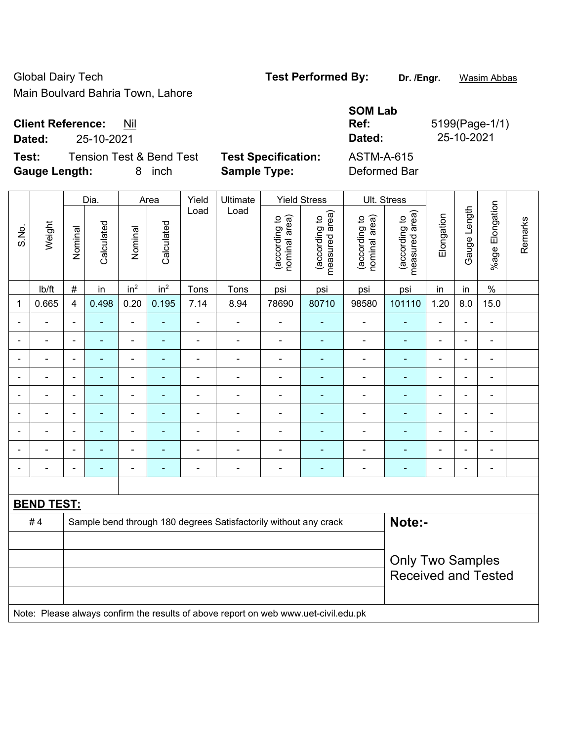Global Dairy Tech **Test Performed By:** Dr. /Engr. **Wasim Abbas** Main Boulvard Bahria Town, Lahore

**Test:** Tension Test & Bend Test **Test Specification:** ASTM-A-615 **Gauge Length:** 8 inch **Sample Type:** Deformed Bar

|             |                              |                     | <b>SOM Lab</b> |                |
|-------------|------------------------------|---------------------|----------------|----------------|
|             | <b>Client Reference: Nil</b> |                     | Ref:           | 5199(Page-1/1) |
| Dated:      | 25-10-2021                   |                     | Dated:         | 25-10-2021     |
| <b>T.L.</b> |                              | Taal Omaalflaatlami | ACTMA A CAF    |                |

|                          |                          |                              | Dia.           |                          | Area            | Yield          | Ultimate                                                         |                                | <b>Yield Stress</b>             | Ult. Stress                    |                                 |                          |                |                 |         |
|--------------------------|--------------------------|------------------------------|----------------|--------------------------|-----------------|----------------|------------------------------------------------------------------|--------------------------------|---------------------------------|--------------------------------|---------------------------------|--------------------------|----------------|-----------------|---------|
| S.No.                    | Weight                   | Nominal                      | Calculated     | Nominal                  | Calculated      | Load           | Load                                                             | nominal area)<br>(according to | measured area)<br>(according to | nominal area)<br>(according to | measured area)<br>(according to | Elongation               | Gauge Length   | %age Elongation | Remarks |
|                          | lb/ft                    | $\#$                         | in             | in <sup>2</sup>          | in <sup>2</sup> | Tons           | Tons                                                             | psi                            | psi                             | psi                            | psi                             | in                       | in             | $\frac{1}{2}$   |         |
| $\mathbf 1$              | 0.665                    | $\overline{\mathbf{4}}$      | 0.498          | 0.20                     | 0.195           | 7.14           | 8.94                                                             | 78690                          | 80710                           | 98580                          | 101110                          | 1.20                     | 8.0            | 15.0            |         |
| ÷                        |                          | $\qquad \qquad \blacksquare$ | ÷,             | $\overline{\phantom{0}}$ | ٠               | ٠              | $\blacksquare$                                                   |                                |                                 | $\blacksquare$                 | $\blacksquare$                  | $\blacksquare$           | $\blacksquare$ |                 |         |
| $\blacksquare$           |                          | $\overline{\phantom{a}}$     |                |                          |                 | $\blacksquare$ | $\blacksquare$                                                   | $\blacksquare$                 |                                 | $\blacksquare$                 | $\blacksquare$                  |                          | $\blacksquare$ | $\blacksquare$  |         |
| $\blacksquare$           |                          | $\qquad \qquad \blacksquare$ | $\blacksquare$ | $\overline{\phantom{0}}$ | ۰               | ٠              |                                                                  | ÷                              |                                 |                                | $\blacksquare$                  | $\blacksquare$           | ÷              | $\blacksquare$  |         |
| ÷                        |                          | $\qquad \qquad \blacksquare$ |                |                          | ۳               | ٠              | $\blacksquare$                                                   | $\blacksquare$                 |                                 |                                | $\blacksquare$                  | ٠                        | $\blacksquare$ | $\blacksquare$  |         |
| $\blacksquare$           |                          | $\overline{\phantom{a}}$     |                |                          |                 | ÷              |                                                                  | -                              |                                 | $\blacksquare$                 | $\blacksquare$                  | $\blacksquare$           | $\blacksquare$ | -               |         |
| ÷                        |                          | $\blacksquare$               |                |                          |                 |                |                                                                  |                                |                                 |                                |                                 |                          |                | $\blacksquare$  |         |
| $\blacksquare$           |                          | $\qquad \qquad \blacksquare$ |                | $\overline{\phantom{0}}$ |                 | Ē,             | $\blacksquare$                                                   | ÷                              |                                 | $\blacksquare$                 | ۳                               | $\blacksquare$           | $\blacksquare$ | $\blacksquare$  |         |
| $\overline{\phantom{a}}$ | $\overline{\phantom{0}}$ | $\overline{\phantom{a}}$     | ۳              | $\overline{\phantom{0}}$ | ۰               | ÷              | $\blacksquare$                                                   | ÷                              |                                 |                                | $\blacksquare$                  | $\overline{\phantom{a}}$ | ÷              | $\blacksquare$  |         |
| $\blacksquare$           |                          | $\blacksquare$               |                |                          | ۳               | Ē,             | $\blacksquare$                                                   | $\blacksquare$                 | $\blacksquare$                  | $\blacksquare$                 | $\blacksquare$                  | $\blacksquare$           | $\blacksquare$ | $\blacksquare$  |         |
|                          |                          |                              |                |                          |                 |                |                                                                  |                                |                                 |                                |                                 |                          |                |                 |         |
|                          | <b>BEND TEST:</b>        |                              |                |                          |                 |                |                                                                  |                                |                                 |                                |                                 |                          |                |                 |         |
|                          | #4                       |                              |                |                          |                 |                | Sample bend through 180 degrees Satisfactorily without any crack |                                |                                 |                                | Note:-                          |                          |                |                 |         |
|                          |                          |                              |                |                          |                 |                |                                                                  |                                |                                 |                                |                                 |                          |                |                 |         |
|                          |                          |                              |                |                          |                 |                |                                                                  |                                |                                 |                                | <b>Only Two Samples</b>         |                          |                |                 |         |
|                          |                          |                              |                |                          |                 |                |                                                                  |                                |                                 |                                | <b>Received and Tested</b>      |                          |                |                 |         |
|                          |                          |                              |                |                          |                 |                |                                                                  |                                |                                 |                                |                                 |                          |                |                 |         |

Note: Please always confirm the results of above report on web www.uet-civil.edu.pk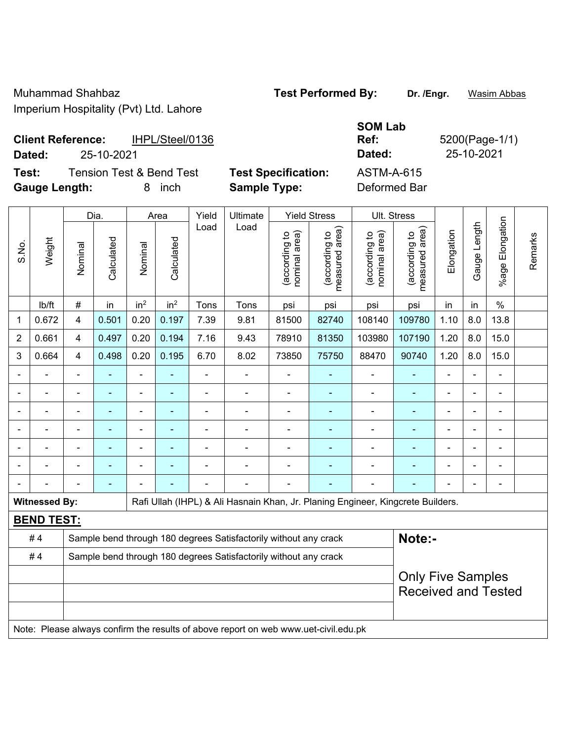Muhammad Shahbaz **Test Performed By: Dr. /Engr.** Wasim Abbas Imperium Hospitality (Pvt) Ltd. Lahore

**SOM Lab Ref:** 5200(Page-1/1)

**Client Reference:** IHPL/Steel/0136 **Dated:** 25-10-2021 **Dated:** 25-10-2021

**Test:** Tension Test & Bend Test **Test Specification:** ASTM-A-615 **Gauge Length:** 8 inch **Sample Type:** Deformed Bar

 $\mathbf{\overline{1}}$ 

 $\mathbf{\overline{1}}$ 

 $\top$ 

|                |                      |                | Dia.           |                          | Area            | Yield                        | Ultimate                                                                            |                                | <b>Yield Stress</b>                         |                                | Ult. Stress                                            |                          |              |                       |         |
|----------------|----------------------|----------------|----------------|--------------------------|-----------------|------------------------------|-------------------------------------------------------------------------------------|--------------------------------|---------------------------------------------|--------------------------------|--------------------------------------------------------|--------------------------|--------------|-----------------------|---------|
| S.No.          | Weight               | Nominal        | Calculated     | Nominal                  | Calculated      | Load                         | Load                                                                                | (according to<br>nominal area) | (according to<br>neasured area)<br>measured | (according to<br>nominal area) | (according to<br>measured area)                        | Elongation               | Gauge Length | Elongation<br>$%$ age | Remarks |
|                | lb/ft                | $\#$           | in             | in <sup>2</sup>          | in <sup>2</sup> | Tons                         | Tons                                                                                | psi                            | psi                                         | psi                            | psi                                                    | in                       | in           | $\%$                  |         |
| $\mathbf{1}$   | 0.672                | 4              | 0.501          | 0.20                     | 0.197           | 7.39                         | 9.81                                                                                | 81500                          | 82740                                       | 108140                         | 109780                                                 | 1.10                     | 8.0          | 13.8                  |         |
| $\overline{2}$ | 0.661                | 4              | 0.497          | 0.20                     | 0.194           | 7.16                         | 9.43                                                                                | 78910                          | 81350                                       | 103980                         | 107190                                                 | 1.20                     | 8.0          | 15.0                  |         |
| $\mathbf{3}$   | 0.664                | 4              | 0.498          | 0.20                     | 0.195           | 6.70                         | 8.02                                                                                | 73850                          | 75750                                       | 88470                          | 90740                                                  | 1.20                     | 8.0          | 15.0                  |         |
|                |                      |                |                |                          |                 |                              |                                                                                     |                                |                                             | $\blacksquare$                 | ٠                                                      |                          |              |                       |         |
|                |                      |                |                |                          |                 |                              |                                                                                     |                                |                                             |                                |                                                        |                          |              |                       |         |
|                |                      | $\blacksquare$ | -              | $\blacksquare$           | $\blacksquare$  | $\blacksquare$               | $\blacksquare$                                                                      | $\blacksquare$                 |                                             | $\blacksquare$                 | ۰                                                      | $\overline{\phantom{a}}$ |              | $\blacksquare$        |         |
|                |                      | $\blacksquare$ | ۰              | $\overline{\phantom{0}}$ | $\blacksquare$  | $\qquad \qquad \blacksquare$ | $\blacksquare$                                                                      | $\blacksquare$                 | $\overline{\phantom{0}}$                    | $\blacksquare$                 | ۰                                                      | $\overline{\phantom{a}}$ |              | $\overline{a}$        |         |
|                |                      | $\blacksquare$ | $\blacksquare$ | $\blacksquare$           | ٠               | $\blacksquare$               |                                                                                     |                                | ٠                                           | $\blacksquare$                 | ÷                                                      |                          |              | $\blacksquare$        |         |
|                |                      |                |                |                          |                 |                              |                                                                                     |                                |                                             |                                |                                                        |                          |              |                       |         |
|                |                      |                |                |                          |                 |                              |                                                                                     |                                |                                             |                                |                                                        |                          |              | $\blacksquare$        |         |
|                | <b>Witnessed By:</b> |                |                |                          |                 |                              | Rafi Ullah (IHPL) & Ali Hasnain Khan, Jr. Planing Engineer, Kingcrete Builders.     |                                |                                             |                                |                                                        |                          |              |                       |         |
|                | <b>BEND TEST:</b>    |                |                |                          |                 |                              |                                                                                     |                                |                                             |                                |                                                        |                          |              |                       |         |
|                | #4                   |                |                |                          |                 |                              | Sample bend through 180 degrees Satisfactorily without any crack                    |                                |                                             |                                | Note:-                                                 |                          |              |                       |         |
|                | #4                   |                |                |                          |                 |                              | Sample bend through 180 degrees Satisfactorily without any crack                    |                                |                                             |                                |                                                        |                          |              |                       |         |
|                |                      |                |                |                          |                 |                              |                                                                                     |                                |                                             |                                | <b>Only Five Samples</b><br><b>Received and Tested</b> |                          |              |                       |         |
|                |                      |                |                |                          |                 |                              | Note: Please always confirm the results of above report on web www.uet-civil.edu.pk |                                |                                             |                                |                                                        |                          |              |                       |         |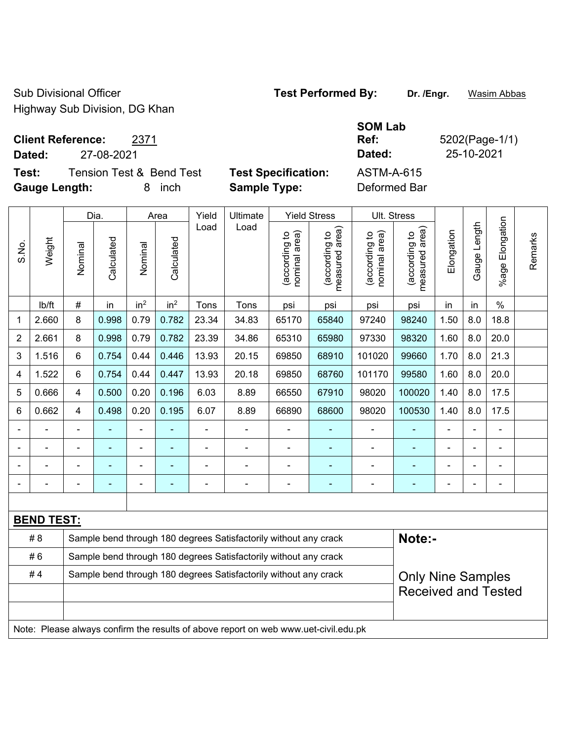Sub Divisional Officer **Test Performed By:** Dr. /Engr. **Wasim Abbas** Highway Sub Division, DG Khan

**Client Reference:** 2371

**Dated:** 27-08-2021 **Dated:** 25-10-2021

**Test:** Tension Test & Bend Test **Test Specification:** ASTM-A-615 **Gauge Length:** 8 inch **Sample Type:** Deformed Bar

**SOM Lab Ref:** 5202(Page-1/1)

|                |                   | Dia.                                                             |            | Area            |                 | Yield | Ultimate                                                                            | <b>Yield Stress</b>            |                                 | Ult. Stress                    |                                 |            |              |                       |         |
|----------------|-------------------|------------------------------------------------------------------|------------|-----------------|-----------------|-------|-------------------------------------------------------------------------------------|--------------------------------|---------------------------------|--------------------------------|---------------------------------|------------|--------------|-----------------------|---------|
| S.No.          | Weight            | Nominal                                                          | Calculated | Nominal         | Calculated      | Load  | Load                                                                                | nominal area)<br>(according to | (according to<br>measured area) | (according to<br>nominal area) | (according to<br>measured area) | Elongation | Gauge Length | Elongation<br>$%$ age | Remarks |
|                | lb/ft             | $\#$                                                             | in         | in <sup>2</sup> | in <sup>2</sup> | Tons  | Tons                                                                                | psi                            | psi                             | psi                            | psi                             | in         | in           | $\frac{0}{0}$         |         |
| 1              | 2.660             | 8                                                                | 0.998      | 0.79            | 0.782           | 23.34 | 34.83                                                                               | 65170                          | 65840                           | 97240                          | 98240                           | 1.50       | 8.0          | 18.8                  |         |
| $\overline{2}$ | 2.661             | 8                                                                | 0.998      | 0.79            | 0.782           | 23.39 | 34.86                                                                               | 65310                          | 65980                           | 97330                          | 98320                           | 1.60       | 8.0          | 20.0                  |         |
| 3              | 1.516             | $6\phantom{a}$                                                   | 0.754      | 0.44            | 0.446           | 13.93 | 20.15                                                                               | 69850                          | 68910                           | 101020                         | 99660                           | 1.70       | 8.0          | 21.3                  |         |
| 4              | 1.522             | $6\phantom{a}$                                                   | 0.754      | 0.44            | 0.447           | 13.93 | 20.18                                                                               | 69850                          | 68760                           | 101170                         | 99580                           | 1.60       | 8.0          | 20.0                  |         |
| 5              | 0.666             | 4                                                                | 0.500      | 0.20            | 0.196           | 6.03  | 8.89                                                                                | 66550                          | 67910                           | 98020                          | 100020                          | 1.40       | 8.0          | 17.5                  |         |
| 6              | 0.662             | $\overline{4}$                                                   | 0.498      | 0.20            | 0.195           | 6.07  | 8.89                                                                                | 66890                          | 68600                           | 98020                          | 100530                          | 1.40       | 8.0          | 17.5                  |         |
|                |                   | $\blacksquare$                                                   |            | $\blacksquare$  |                 | ä,    | ÷                                                                                   | ÷,                             |                                 | $\overline{\phantom{a}}$       | $\blacksquare$                  | L,         |              | ÷,                    |         |
|                |                   | ä,                                                               | ä,         | ÷,              |                 | L,    | ÷                                                                                   | $\blacksquare$                 |                                 | $\blacksquare$                 | ÷                               | L,         |              | ÷,                    |         |
|                |                   |                                                                  |            |                 |                 |       | $\blacksquare$                                                                      |                                |                                 |                                |                                 |            |              |                       |         |
|                |                   |                                                                  |            |                 |                 |       | ÷                                                                                   | $\blacksquare$                 |                                 |                                | ۰                               |            |              | $\blacksquare$        |         |
|                |                   |                                                                  |            |                 |                 |       |                                                                                     |                                |                                 |                                |                                 |            |              |                       |         |
|                | <b>BEND TEST:</b> |                                                                  |            |                 |                 |       |                                                                                     |                                |                                 |                                |                                 |            |              |                       |         |
|                | # 8               |                                                                  |            |                 |                 |       | Sample bend through 180 degrees Satisfactorily without any crack                    |                                |                                 |                                | Note:-                          |            |              |                       |         |
|                | #6                |                                                                  |            |                 |                 |       | Sample bend through 180 degrees Satisfactorily without any crack                    |                                |                                 |                                |                                 |            |              |                       |         |
|                | #4                | Sample bend through 180 degrees Satisfactorily without any crack |            |                 |                 |       |                                                                                     |                                |                                 |                                | <b>Only Nine Samples</b>        |            |              |                       |         |
|                |                   |                                                                  |            |                 |                 |       |                                                                                     |                                |                                 | <b>Received and Tested</b>     |                                 |            |              |                       |         |
|                |                   |                                                                  |            |                 |                 |       |                                                                                     |                                |                                 |                                |                                 |            |              |                       |         |
|                |                   |                                                                  |            |                 |                 |       | Note: Please always confirm the results of above report on web www.uet-civil.edu.pk |                                |                                 |                                |                                 |            |              |                       |         |